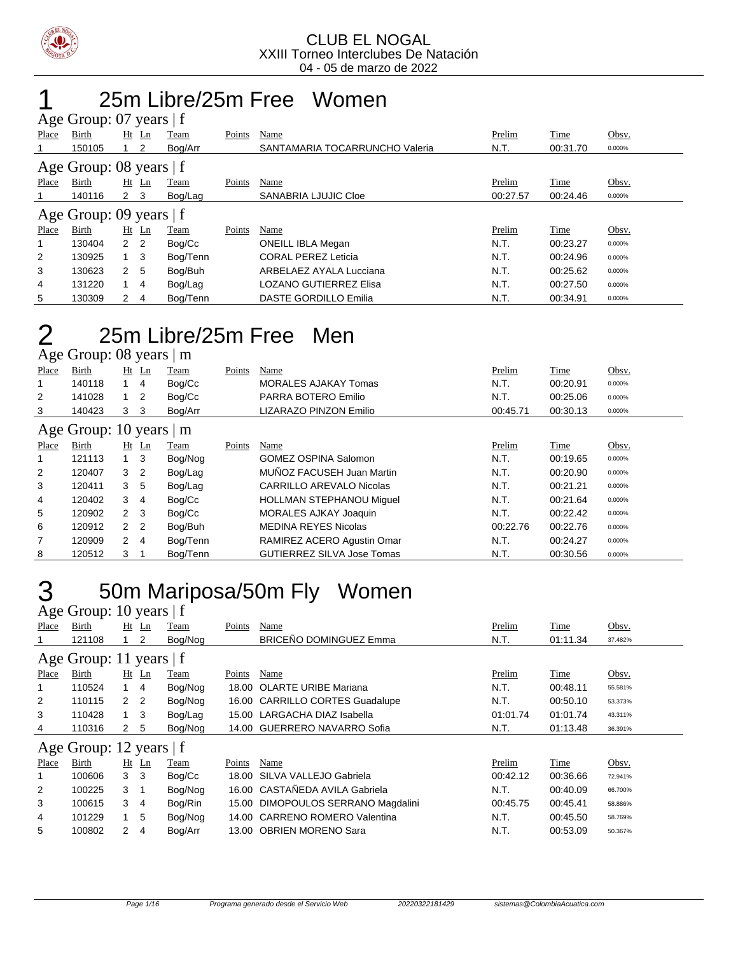

#### 1 25m Libre/25m Free Women

| Age Group: 07 years $ f $ |                         |                      |    |          |        |                                |          |          |        |  |  |  |
|---------------------------|-------------------------|----------------------|----|----------|--------|--------------------------------|----------|----------|--------|--|--|--|
| Place                     | Birth                   | Ht                   | Ln | Team     | Points | Name                           | Prelim   | Time     | Obsv.  |  |  |  |
|                           | 150105                  |                      | 2  | Bog/Arr  |        | SANTAMARIA TOCARRUNCHO Valeria | N.T.     | 00:31.70 | 0.000% |  |  |  |
|                           | Age Group: 08 years   f |                      |    |          |        |                                |          |          |        |  |  |  |
| Place                     | Birth                   | Ht Ln                |    | Team     | Points | Name                           | Prelim   | Time     | Obsv.  |  |  |  |
|                           | 140116                  | $2 \quad 3$          |    | Bog/Lag  |        | SANABRIA LJUJIC Cloe           | 00:27.57 | 00:24.46 | 0.000% |  |  |  |
|                           | Age Group: 09 years   f |                      |    |          |        |                                |          |          |        |  |  |  |
| Place                     | Birth                   | Ht                   | Ln | Team     | Points | Name                           | Prelim   | Time     | Obsv.  |  |  |  |
| 1                         | 130404                  | 2 <sub>2</sub>       |    | Bog/Cc   |        | <b>ONEILL IBLA Megan</b>       | N.T.     | 00:23.27 | 0.000% |  |  |  |
| 2                         | 130925                  |                      | 3  | Bog/Tenn |        | <b>CORAL PEREZ Leticia</b>     | N.T.     | 00:24.96 | 0.000% |  |  |  |
| 3                         | 130623                  | $\mathbf{2}^{\circ}$ | 5  | Bog/Buh  |        | ARBELAEZ AYALA Lucciana        | N.T.     | 00:25.62 | 0.000% |  |  |  |
| 4                         | 131220                  |                      | 4  | Bog/Lag  |        | <b>LOZANO GUTIERREZ Elisa</b>  | N.T.     | 00:27.50 | 0.000% |  |  |  |
| 5                         | 130309                  | $\overline{2}$       | 4  | Boa/Tenn |        | DASTE GORDILLO Emilia          | N.T.     | 00:34.91 | 0.000% |  |  |  |

## 2 25m Libre/25m Free Men

| Age Group: 08 years   m |                           |                |                |          |        |                                   |          |             |        |  |  |  |
|-------------------------|---------------------------|----------------|----------------|----------|--------|-----------------------------------|----------|-------------|--------|--|--|--|
| Place                   | Birth                     |                | $Ht$ Ln        | Team     | Points | Name                              | Prelim   | <b>Time</b> | Obsv.  |  |  |  |
|                         | 140118                    |                | 4              | Bog/Cc   |        | <b>MORALES AJAKAY Tomas</b>       | N.T.     | 00:20.91    | 0.000% |  |  |  |
| 2                       | 141028                    |                | $\overline{2}$ | Bog/Cc   |        | PARRA BOTERO Emilio               | N.T.     | 00:25.06    | 0.000% |  |  |  |
| 3                       | 140423                    | 3              | 3              | Bog/Arr  |        | <b>LIZARAZO PINZON Emilio</b>     | 00:45.71 | 00:30.13    | 0.000% |  |  |  |
|                         | Age Group: 10 years $ m $ |                |                |          |        |                                   |          |             |        |  |  |  |
| Place                   | Birth                     | Ht             | Ln             | Team     | Points | Name                              | Prelim   | Time        | Obsv.  |  |  |  |
|                         | 121113                    | 1              | 3              | Bog/Nog  |        | <b>GOMEZ OSPINA Salomon</b>       | N.T.     | 00:19.65    | 0.000% |  |  |  |
| 2                       | 120407                    | 3              | $\overline{2}$ | Bog/Lag  |        | MUÑOZ FACUSEH Juan Martin         | N.T.     | 00:20.90    | 0.000% |  |  |  |
| 3                       | 120411                    | 3              | -5             | Bog/Lag  |        | <b>CARRILLO AREVALO Nicolas</b>   | N.T.     | 00:21.21    | 0.000% |  |  |  |
| 4                       | 120402                    | 3              | 4              | Bog/Cc   |        | <b>HOLLMAN STEPHANOU Miquel</b>   | N.T.     | 00:21.64    | 0.000% |  |  |  |
| 5                       | 120902                    | $\overline{2}$ | -3             | Bog/Cc   |        | <b>MORALES AJKAY Joaquin</b>      | N.T.     | 00:22.42    | 0.000% |  |  |  |
| 6                       | 120912                    | 2              | 2              | Bog/Buh  |        | <b>MEDINA REYES Nicolas</b>       | 00:22.76 | 00:22.76    | 0.000% |  |  |  |
| $\overline{7}$          | 120909                    | $\mathbf{2}$   | 4              | Bog/Tenn |        | RAMIREZ ACERO Agustin Omar        | N.T.     | 00:24.27    | 0.000% |  |  |  |
| 8                       | 120512                    | 3              |                | Bog/Tenn |        | <b>GUTIERREZ SILVA Jose Tomas</b> | N.T.     | 00:30.56    | 0.000% |  |  |  |

# 3 50m Mariposa/50m Fly Women

| Age Group: 10 years   f |                           |                |                |         |        |                                 |          |          |         |  |  |
|-------------------------|---------------------------|----------------|----------------|---------|--------|---------------------------------|----------|----------|---------|--|--|
| Place                   | Birth                     |                | $Ht$ Ln        | Team    | Points | Name                            | Prelim   | Time     | Obsv.   |  |  |
|                         | 121108                    |                | 2              | Bog/Nog |        | BRICEÑO DOMINGUEZ Emma          | N.T.     | 01:11.34 | 37.482% |  |  |
|                         | Age Group: 11 years $ f $ |                |                |         |        |                                 |          |          |         |  |  |
| Place                   | Birth                     |                | $Ht$ Ln        | Team    | Points | Name                            | Prelim   | Time     | Obsv.   |  |  |
|                         | 110524                    |                | 4              | Bog/Nog | 18.00  | <b>OLARTE URIBE Mariana</b>     | N.T.     | 00:48.11 | 55.581% |  |  |
| 2                       | 110115                    | $\overline{2}$ | $\overline{2}$ | Bog/Nog |        | 16.00 CARRILLO CORTES Guadalupe | N.T.     | 00:50.10 | 53.373% |  |  |
| 3                       | 110428                    |                | $1 \quad 3$    | Bog/Lag |        | 15.00 LARGACHA DIAZ Isabella    | 01:01.74 | 01:01.74 | 43.311% |  |  |
| 4                       | 110316                    | $\mathbf{2}$   | 5              | Bog/Nog |        | 14.00 GUERRERO NAVARRO Sofia    | N.T.     | 01:13.48 | 36.391% |  |  |
|                         | Age Group: 12 years $ f $ |                |                |         |        |                                 |          |          |         |  |  |
| Place                   | Birth                     |                | $Ht$ Ln        | Team    | Points | Name                            | Prelim   | Time     | Obsv.   |  |  |
|                         | 100606                    | 3              | -3             | Bog/Cc  | 18.00  | SILVA VALLEJO Gabriela          | 00:42.12 | 00:36.66 | 72.941% |  |  |
| 2                       | 100225                    | 3              | -1             | Bog/Nog |        | 16.00 CASTAÑEDA AVILA Gabriela  | N.T.     | 00:40.09 | 66.700% |  |  |
| 3                       | 100615                    | 3              | 4              | Bog/Rin | 15.00  | DIMOPOULOS SERRANO Magdalini    | 00:45.75 | 00:45.41 | 58.886% |  |  |
| 4                       | 101229                    | 1.             | 5              | Bog/Nog |        | 14.00 CARRENO ROMERO Valentina  | N.T.     | 00:45.50 | 58.769% |  |  |
| 5                       | 100802                    | $\overline{2}$ | 4              | Bog/Arr |        | 13.00 OBRIEN MORENO Sara        | N.T.     | 00:53.09 | 50.367% |  |  |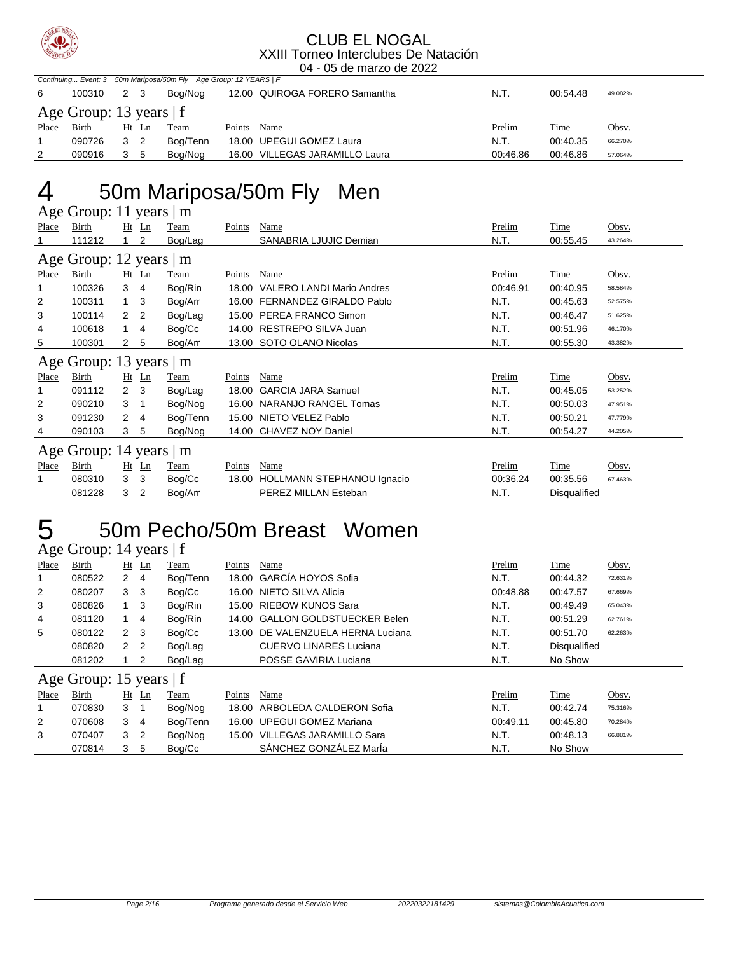

|       | Continuing Event: 3 50m Mariposa/50m Fly Age Group: 12 YEARS   F |     |       |          |        |                                |               |             |         |  |  |  |  |
|-------|------------------------------------------------------------------|-----|-------|----------|--------|--------------------------------|---------------|-------------|---------|--|--|--|--|
| 6     | 100310                                                           | 2 3 |       | Bog/Nog  |        | 12.00 QUIROGA FORERO Samantha  | N.T.          | 00:54.48    | 49.082% |  |  |  |  |
|       | Age Group: 13 years $ f $                                        |     |       |          |        |                                |               |             |         |  |  |  |  |
| Place | Birth                                                            |     | Ht Ln | Team     | Points | Name                           | <u>Prelim</u> | <b>Time</b> | Obsv.   |  |  |  |  |
|       | 090726                                                           | 3   | - 2   | Bog/Tenn |        | 18.00 UPEGUI GOMEZ Laura       | N.T.          | 00:40.35    | 66.270% |  |  |  |  |
| 2     | 090916                                                           | 3   | 5     | Bog/Nog  |        | 16.00 VILLEGAS JARAMILLO Laura | 00:46.86      | 00:46.86    | 57.064% |  |  |  |  |

## 4 50m Mariposa/50m Fly Men

Age Group: 11 years | m

| Place | Birth                    | $Ht$ Ln        |                | Team        | Points        | Name                             | Prelim   | Time                | Obsv.   |
|-------|--------------------------|----------------|----------------|-------------|---------------|----------------------------------|----------|---------------------|---------|
|       | 111212                   |                | 2              | Bog/Lag     |               | SANABRIA LJUJIC Demian           | N.T.     | 00:55.45            | 43.264% |
|       | Age Group: 12 years $ m$ |                |                |             |               |                                  |          |                     |         |
| Place | Birth                    | $Ht$ Ln        |                | Team        | Points        | Name                             | Prelim   | Time                | Obsv.   |
|       | 100326                   | 3              | 4              | Bog/Rin     | 18.00         | VALERO LANDI Mario Andres        | 00:46.91 | 00:40.95            | 58.584% |
| 2     | 100311                   |                | 3              | Bog/Arr     |               | 16.00 FERNANDEZ GIRALDO Pablo    | N.T.     | 00:45.63            | 52.575% |
| 3     | 100114                   | 2 <sub>2</sub> |                | Bog/Lag     |               | 15.00 PEREA FRANCO Simon         | N.T.     | 00:46.47            | 51.625% |
| 4     | 100618                   |                | 4              | Bog/Cc      |               | 14.00 RESTREPO SILVA Juan        | N.T.     | 00:51.96            | 46.170% |
| 5     | 100301                   | $\mathbf{2}$   | 5              | Bog/Arr     |               | 13.00 SOTO OLANO Nicolas         | N.T.     | 00:55.30            | 43.382% |
|       | Age Group: 13 years $ m$ |                |                |             |               |                                  |          |                     |         |
| Place | Birth                    | $Ht$ Ln        |                | <b>Team</b> | <b>Points</b> | Name                             | Prelim   | <b>Time</b>         | Obsv.   |
|       | 091112                   | $2^{\circ}$    | -3             | Bog/Lag     |               | 18.00 GARCIA JARA Samuel         | N.T.     | 00:45.05            | 53.252% |
| 2     | 090210                   | 3              | -1             | Bog/Nog     |               | 16.00 NARANJO RANGEL Tomas       | N.T.     | 00:50.03            | 47.951% |
| 3     | 091230                   | 2              | 4              | Bog/Tenn    |               | 15.00 NIETO VELEZ Pablo          | N.T.     | 00:50.21            | 47.779% |
| 4     | 090103                   | 3              | 5              | Bog/Nog     |               | 14.00 CHAVEZ NOY Daniel          | N.T.     | 00:54.27            | 44.205% |
|       | Age Group: 14 years   m  |                |                |             |               |                                  |          |                     |         |
| Place | Birth                    | $Ht$ Ln        |                | Team        | Points        | Name                             | Prelim   | Time                | Obsv.   |
|       | 080310                   | 3              | 3              | Bog/Cc      |               | 18.00 HOLLMANN STEPHANOU Ignacio | 00:36.24 | 00:35.56            | 67.463% |
|       | 081228                   | 3              | $\overline{2}$ | Bog/Arr     |               | PEREZ MILLAN Esteban             | N.T.     | <b>Disqualified</b> |         |

#### 5 50m Pecho/50m Breast Women 50m Peck<br>Age Group: 14 years | f

| ັ              |                         |                |                |          |        |                                   |          |                     |         |
|----------------|-------------------------|----------------|----------------|----------|--------|-----------------------------------|----------|---------------------|---------|
| Place          | Birth                   |                | $Ht$ Ln        | Team     | Points | Name                              | Prelim   | Time                | Obsv.   |
|                | 080522                  | $\overline{2}$ | 4              | Bog/Tenn | 18.00  | <b>GARCÍA HOYOS Sofia</b>         | N.T.     | 00:44.32            | 72.631% |
| $\overline{2}$ | 080207                  | 3              | - 3            | Bog/Cc   |        | 16.00 NIETO SILVA Alicia          | 00:48.88 | 00:47.57            | 67.669% |
| 3              | 080826                  |                | -3             | Bog/Rin  |        | 15.00 RIEBOW KUNOS Sara           | N.T.     | 00:49.49            | 65.043% |
| 4              | 081120                  |                | 4              | Bog/Rin  |        | 14.00 GALLON GOLDSTUECKER Belen   | N.T.     | 00:51.29            | 62.761% |
| 5              | 080122                  | $\overline{2}$ | -3             | Bog/Cc   |        | 13.00 DE VALENZUELA HERNA Luciana | N.T.     | 00:51.70            | 62.263% |
|                | 080820                  | $\overline{2}$ | $\overline{2}$ | Bog/Lag  |        | <b>CUERVO LINARES Luciana</b>     | N.T.     | <b>Disqualified</b> |         |
|                | 081202                  |                | 2              | Bog/Lag  |        | POSSE GAVIRIA Luciana             | N.T.     | No Show             |         |
|                | Age Group: 15 years   f |                |                |          |        |                                   |          |                     |         |
| Place          | Birth                   | Ht             | Ln             | Team     | Points | Name                              | Prelim   | Time                | Obsv.   |
|                | 070830                  | 3              |                | Bog/Nog  |        | 18.00 ARBOLEDA CALDERON Sofia     | N.T.     | 00:42.74            | 75.316% |
| 2              | 070608                  | 3              | 4              | Bog/Tenn |        | 16.00 UPEGUI GOMEZ Mariana        | 00:49.11 | 00:45.80            | 70.284% |
| 3              | 070407                  | 3              | $\overline{2}$ | Bog/Nog  |        | 15.00 VILLEGAS JARAMILLO Sara     | N.T.     | 00:48.13            | 66.881% |
|                | 070814                  | 3              | 5              | Bog/Cc   |        | SÁNCHEZ GONZÁLEZ MarÍa            | N.T.     | No Show             |         |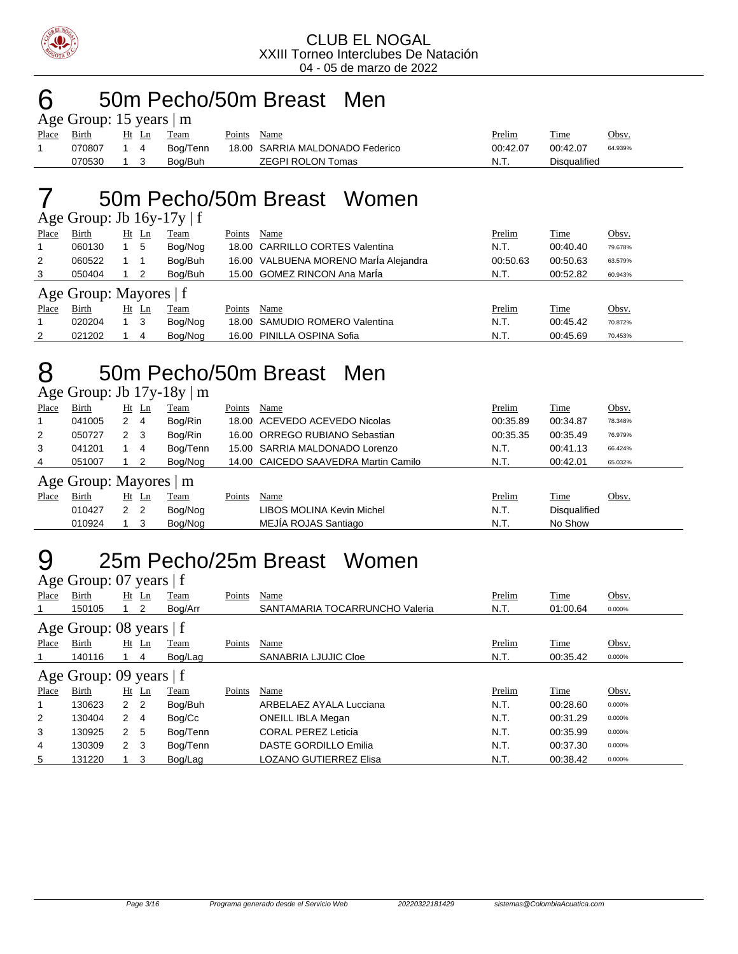

#### 6 50m Pecho/50m Breast Men

|       | Age Group: 15 years   m |       |  |          |        |                                 |          |              |         |  |  |  |
|-------|-------------------------|-------|--|----------|--------|---------------------------------|----------|--------------|---------|--|--|--|
| Place | Birth                   | Ht Ln |  | Team     | Points | Name                            | Prelim   | Time         | Obsv.   |  |  |  |
|       | 070807                  | 14    |  | Boa/Tenn |        | 18.00 SARRIA MALDONADO Federico | 00:42.07 | 00:42.07     | 64.939% |  |  |  |
|       | 070530                  |       |  | Boa/Buh  |        | <b>ZEGPI ROLON Tomas</b>        | N.T.     | Disgualified |         |  |  |  |

## 7 50m Pecho/50m Breast Women

| Age Group: Jb $16y-17y \mid f$ |                        |             |         |        |                                       |          |             |         |  |  |  |  |
|--------------------------------|------------------------|-------------|---------|--------|---------------------------------------|----------|-------------|---------|--|--|--|--|
| Place                          | Birth                  | Ht Ln       | Team    | Points | Name                                  | Prelim   | <b>Time</b> | Obsv.   |  |  |  |  |
|                                | 060130                 | 5           | Bog/Nog |        | 18.00 CARRILLO CORTES Valentina       | N.T.     | 00:40.40    | 79.678% |  |  |  |  |
| 2                              | 060522                 |             | Bog/Buh |        | 16.00 VALBUENA MORENO MarÍa Alejandra | 00:50.63 | 00:50.63    | 63.579% |  |  |  |  |
| 3                              | 050404                 | -2          | Bog/Buh |        | 15.00 GOMEZ RINCON Ana Marla          | N.T.     | 00:52.82    | 60.943% |  |  |  |  |
|                                | Age Group: Mayores   f |             |         |        |                                       |          |             |         |  |  |  |  |
| Place                          | Birth                  | $Ht$ Ln     | Team    | Points | Name                                  | Prelim   | Time        | Obsv.   |  |  |  |  |
|                                | 020204                 | $1 \quad 3$ | Bog/Nog |        | 18.00 SAMUDIO ROMERO Valentina        | N.T.     | 00:45.42    | 70.872% |  |  |  |  |
| 2                              | 021202                 | 4           | Bog/Nog |        | 16.00 PINILLA OSPINA Sofia            | N.T.     | 00:45.69    | 70.453% |  |  |  |  |

#### 8 50m Pecho/50m Breast Men

Age Group: Jb  $17v-18v \mid m$ 

| ີ            |                        |                     |          |        |                                      |          |                     |         |  |  |  |  |
|--------------|------------------------|---------------------|----------|--------|--------------------------------------|----------|---------------------|---------|--|--|--|--|
| <b>Place</b> | <b>Birth</b>           | Ht<br>Ln            | Team     | Points | Name                                 | Prelim   | <b>Time</b>         | Obsv.   |  |  |  |  |
|              | 041005                 | 2<br>4              | Bog/Rin  |        | 18.00 ACEVEDO ACEVEDO Nicolas        | 00:35.89 | 00:34.87            | 78.348% |  |  |  |  |
| 2            | 050727                 | $\mathbf{2}$<br>- 3 | Bog/Rin  |        | 16.00 ORREGO RUBIANO Sebastian       | 00:35.35 | 00:35.49            | 76.979% |  |  |  |  |
| 3            | 041201                 | 4                   | Bog/Tenn |        | 15.00 SARRIA MALDONADO Lorenzo       | N.T.     | 00:41.13            | 66.424% |  |  |  |  |
| 4            | 051007                 | -2                  | Bog/Nog  |        | 14.00 CAICEDO SAAVEDRA Martin Camilo | N.T.     | 00:42.01            | 65.032% |  |  |  |  |
|              | Age Group: Mayores   m |                     |          |        |                                      |          |                     |         |  |  |  |  |
| Place        | Birth                  | $Ht$ Ln             | Team     | Points | Name                                 | Prelim   | Time                | Obsv.   |  |  |  |  |
|              | 010427                 | 2 <sub>2</sub>      | Bog/Nog  |        | LIBOS MOLINA Kevin Michel            | N.T.     | <b>Disqualified</b> |         |  |  |  |  |
|              | 010924                 | -3                  | Bog/Nog  |        | MEJÍA ROJAS Santiago                 | N.T.     | No Show             |         |  |  |  |  |
|              |                        |                     |          |        |                                      |          |                     |         |  |  |  |  |

#### 9 25m Pecho/25m Breast Women Age Group: 07 years | f

|                | $1.50$ Oroup. 07 $7.0$ and $1.7$ |                |                |          |        |                                |        |          |        |  |  |  |  |
|----------------|----------------------------------|----------------|----------------|----------|--------|--------------------------------|--------|----------|--------|--|--|--|--|
| Place          | Birth                            | Ht             | Ln             | Team     | Points | Name                           | Prelim | Time     | Obsv.  |  |  |  |  |
|                | 150105                           |                | $\overline{2}$ | Bog/Arr  |        | SANTAMARIA TOCARRUNCHO Valeria | N.T.   | 01:00.64 | 0.000% |  |  |  |  |
|                | Age Group: 08 years   f          |                |                |          |        |                                |        |          |        |  |  |  |  |
| Place          | Birth                            | Ht             | Ln             | Team     | Points | Name                           | Prelim | Time     | Obsv.  |  |  |  |  |
|                | 140116                           |                | 4              | Bog/Lag  |        | SANABRIA LJUJIC Cloe           | N.T.   | 00:35.42 | 0.000% |  |  |  |  |
|                | Age Group: 09 years $ f $        |                |                |          |        |                                |        |          |        |  |  |  |  |
| Place          | Birth                            | Ht             | Ln             | Team     | Points | Name                           | Prelim | Time     | Obsv.  |  |  |  |  |
|                | 130623                           | 2 <sub>2</sub> |                | Bog/Buh  |        | ARBELAEZ AYALA Lucciana        | N.T.   | 00:28.60 | 0.000% |  |  |  |  |
| $\overline{2}$ | 130404                           | $\mathbf{2}$   | -4             | Bog/Cc   |        | <b>ONEILL IBLA Megan</b>       | N.T.   | 00:31.29 | 0.000% |  |  |  |  |
| 3              | 130925                           | $\mathbf{2}$   | -5             | Bog/Tenn |        | <b>CORAL PEREZ Leticia</b>     | N.T.   | 00:35.99 | 0.000% |  |  |  |  |
| 4              | 130309                           | $2 \quad 3$    |                | Bog/Tenn |        | <b>DASTE GORDILLO Emilia</b>   | N.T.   | 00:37.30 | 0.000% |  |  |  |  |
| 5              | 131220                           |                | 3              | Bog/Lag  |        | <b>LOZANO GUTIERREZ Elisa</b>  | N.T.   | 00:38.42 | 0.000% |  |  |  |  |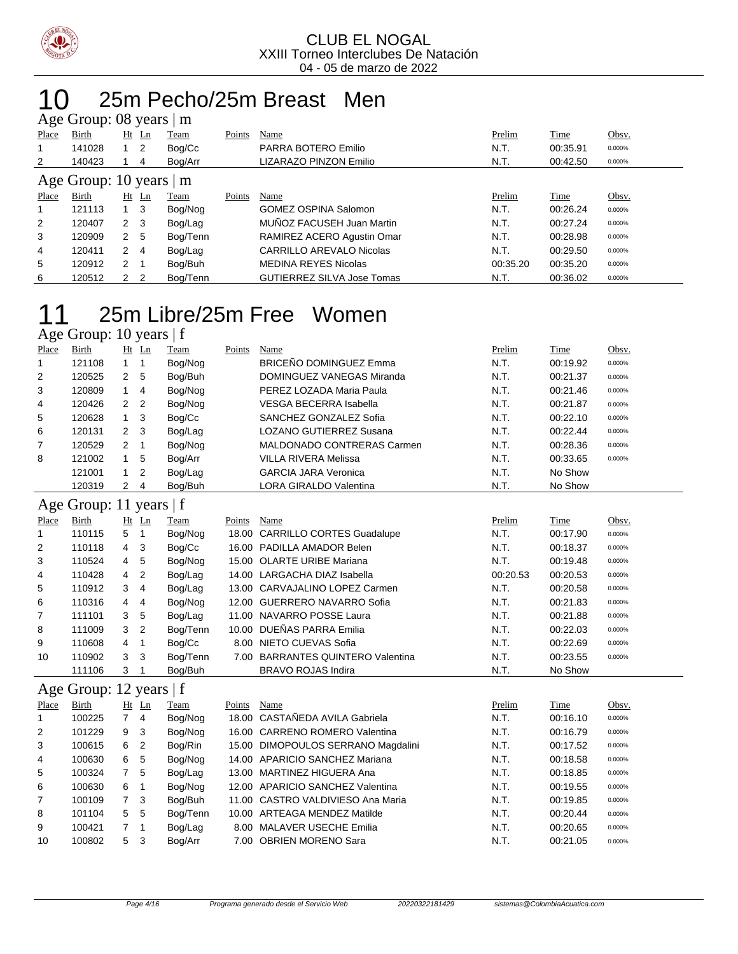

#### 25m Pecho/25m Breast Men Age Group: 08 years | m

| $T_{\rm K}$ Oroup. Ou years $\rm \mu$ m |                     |                |                |          |        |                                   |          |          |        |  |  |
|-----------------------------------------|---------------------|----------------|----------------|----------|--------|-----------------------------------|----------|----------|--------|--|--|
| Place                                   | Birth               |                | $Ht$ Ln        | Team     | Points | Name                              | Prelim   | Time     | Obsv.  |  |  |
|                                         | 141028              | $1\quad 2$     |                | Bog/Cc   |        | PARRA BOTERO Emilio               | N.T.     | 00:35.91 | 0.000% |  |  |
| 2                                       | 140423              |                | 4              | Bog/Arr  |        | LIZARAZO PINZON Emilio            | N.T.     | 00:42.50 | 0.000% |  |  |
|                                         | Age Group: 10 years |                |                | m        |        |                                   |          |          |        |  |  |
| Place                                   | Birth               |                | Ht Ln          | Team     | Points | Name                              | Prelim   | Time     | Obsv.  |  |  |
|                                         | 121113              |                | - 3            | Bog/Nog  |        | <b>GOMEZ OSPINA Salomon</b>       | N.T.     | 00:26.24 | 0.000% |  |  |
| 2                                       | 120407              | $\mathbf{2}$   | - 3            | Bog/Lag  |        | MUÑOZ FACUSEH Juan Martin         | N.T.     | 00:27.24 | 0.000% |  |  |
| 3                                       | 120909              | 2 <sub>5</sub> |                | Bog/Tenn |        | RAMIREZ ACERO Agustin Omar        | N.T.     | 00:28.98 | 0.000% |  |  |
| 4                                       | 120411              | $2 \quad 4$    |                | Bog/Lag  |        | <b>CARRILLO AREVALO Nicolas</b>   | N.T.     | 00:29.50 | 0.000% |  |  |
| 5                                       | 120912              | 2              |                | Bog/Buh  |        | <b>MEDINA REYES Nicolas</b>       | 00:35.20 | 00:35.20 | 0.000% |  |  |
| 6                                       | 120512              | 2              | $\overline{2}$ | Boa/Tenn |        | <b>GUTIERREZ SILVA Jose Tomas</b> | N.T.     | 00:36.02 | 0.000% |  |  |

#### 25m Libre/25m Free Women Age Group: 10 years | f

|                | $1.45$ $\sigma$ $1.04$ $\mu$ $1.04$ $\sigma$ $1.04$ |                |         |         |              |                                |                  |           |          |
|----------------|-----------------------------------------------------|----------------|---------|---------|--------------|--------------------------------|------------------|-----------|----------|
| Place          | Birth                                               |                | $Ht$ Ln | Team    | Points       | Name                           | Prelim           | Time      | Obsv.    |
|                | 121108                                              |                |         | Bog/Nog |              | BRICEÑO DOMINGUEZ Emma         | N.T.             | 00:19.92  | 0.000%   |
| 2              | 120525                                              | 2              | -5      | Bog/Buh |              | DOMINGUEZ VANEGAS Miranda      | N.T.             | 00:21.37  | 0.000%   |
| 3              | 120809                                              |                | -4      | Bog/Nog |              | PEREZ LOZADA Maria Paula       | N.T.             | 00:21.46  | 0.000%   |
| 4              | 120426                                              | 2 <sub>2</sub> |         | Bog/Nog |              | <b>VESGA BECERRA Isabella</b>  | N.T.             | 00:21.87  | 0.000%   |
| 5              | 120628                                              |                | -3      | Bog/Cc  |              | SANCHEZ GONZALEZ Sofia         | N.T.             | 00:22.10  | 0.000%   |
| 6              | 120131                                              | $2 \quad 3$    |         | Bog/Lag |              | <b>LOZANO GUTIERREZ Susana</b> | N.T.             | 00:22.44  | 0.000%   |
| $\overline{7}$ | 120529                                              | $2 \quad 1$    |         | Bog/Nog |              | MALDONADO CONTRERAS Carmen     | N.T.             | 00:28.36  | 0.000%   |
| 8              | 121002                                              |                | -5      | Bog/Arr |              | <b>VILLA RIVERA Melissa</b>    | N.T.             | 00:33.65  | 0.000%   |
|                | 121001                                              | $1\quad 2$     |         | Bog/Lag |              | <b>GARCIA JARA Veronica</b>    | N.T.             | No Show   |          |
|                | 120319                                              | 2              | 4       | Bog/Buh |              | LORA GIRALDO Valentina         | N.T.             | No Show   |          |
|                | Age Group: 11 years   f                             |                |         |         |              |                                |                  |           |          |
|                | Dlaga Diath IIt In Trans                            |                |         |         | Dointe Monac |                                | $D_{\text{max}}$ | $T_{max}$ | $\Omega$ |

| Place          | Birth  |                | Ht Ln          | Team     | Points | Name                              | Prelim   | Time     | Obsv.  |
|----------------|--------|----------------|----------------|----------|--------|-----------------------------------|----------|----------|--------|
|                | 110115 | 5              |                | Bog/Nog  |        | 18.00 CARRILLO CORTES Guadalupe   | N.T.     | 00:17.90 | 0.000% |
| $\overline{2}$ | 110118 | 4              | -3             | Bog/Cc   |        | 16.00 PADILLA AMADOR Belen        | N.T.     | 00:18.37 | 0.000% |
| 3              | 110524 | 4              | 5              | Bog/Nog  |        | 15.00 OLARTE URIBE Mariana        | N.T.     | 00:19.48 | 0.000% |
| 4              | 110428 | 4              | $\overline{2}$ | Bog/Lag  |        | 14.00 LARGACHA DIAZ Isabella      | 00:20.53 | 00:20.53 | 0.000% |
| 5              | 110912 | 3              | 4              | Bog/Lag  |        | 13.00 CARVAJALINO LOPEZ Carmen    | N.T.     | 00:20.58 | 0.000% |
| 6              | 110316 | 4              | 4              | Bog/Nog  |        | 12.00 GUERRERO NAVARRO Sofia      | N.T.     | 00:21.83 | 0.000% |
| 7              | 111101 | 3              | 5              | Bog/Lag  |        | 11.00 NAVARRO POSSE Laura         | N.T.     | 00:21.88 | 0.000% |
| 8              | 111009 | 3              | $\overline{2}$ | Bog/Tenn |        | 10.00 DUEÑAS PARRA Emilia         | N.T.     | 00:22.03 | 0.000% |
| 9              | 110608 | $\overline{4}$ |                | Bog/Cc   |        | 8.00 NIETO CUEVAS Sofia           | N.T.     | 00:22.69 | 0.000% |
| 10             | 110902 | 3              | -3             | Bog/Tenn |        | 7.00 BARRANTES QUINTERO Valentina | N.T.     | 00:23.55 | 0.000% |
|                | 111106 | 3              |                | Bog/Buh  |        | <b>BRAVO ROJAS Indira</b>         | N.T.     | No Show  |        |

#### Age Group: 12 years | f

| Place | Birth  |                | $Ht$ Ln        | Team     | Points | Name                               | Prelim | Time     | Obsv.  |
|-------|--------|----------------|----------------|----------|--------|------------------------------------|--------|----------|--------|
|       | 100225 |                | 4              | Bog/Nog  |        | 18.00 CASTAÑEDA AVILA Gabriela     | N.T.   | 00:16.10 | 0.000% |
| 2     | 101229 | 9              | -3             | Bog/Nog  |        | 16.00 CARRENO ROMERO Valentina     | N.T.   | 00:16.79 | 0.000% |
| 3     | 100615 | 6              | $\overline{2}$ | Bog/Rin  |        | 15.00 DIMOPOULOS SERRANO Magdalini | N.T.   | 00:17.52 | 0.000% |
| 4     | 100630 | 6              | 5              | Bog/Nog  |        | 14.00 APARICIO SANCHEZ Mariana     | N.T.   | 00:18.58 | 0.000% |
| 5     | 100324 |                | 5              | Bog/Lag  |        | 13.00 MARTINEZ HIGUERA Ana         | N.T.   | 00:18.85 | 0.000% |
| 6     | 100630 | 6              |                | Bog/Nog  |        | 12.00 APARICIO SANCHEZ Valentina   | N.T.   | 00:19.55 | 0.000% |
| 7     | 100109 | 7 <sup>3</sup> |                | Bog/Buh  |        | 11.00 CASTRO VALDIVIESO Ana Maria  | N.T.   | 00:19.85 | 0.000% |
| 8     | 101104 | 5              | 5              | Bog/Tenn |        | 10.00 ARTEAGA MENDEZ Matilde       | N.T.   | 00:20.44 | 0.000% |
| 9     | 100421 | 7 <sub>1</sub> |                | Bog/Lag  |        | 8.00 MALAVER USECHE Emilia         | N.T.   | 00:20.65 | 0.000% |
| 10    | 100802 | 5              | -3             | Bog/Arr  | 7.00   | <b>OBRIEN MORENO Sara</b>          | N.T.   | 00:21.05 | 0.000% |
|       |        |                |                |          |        |                                    |        |          |        |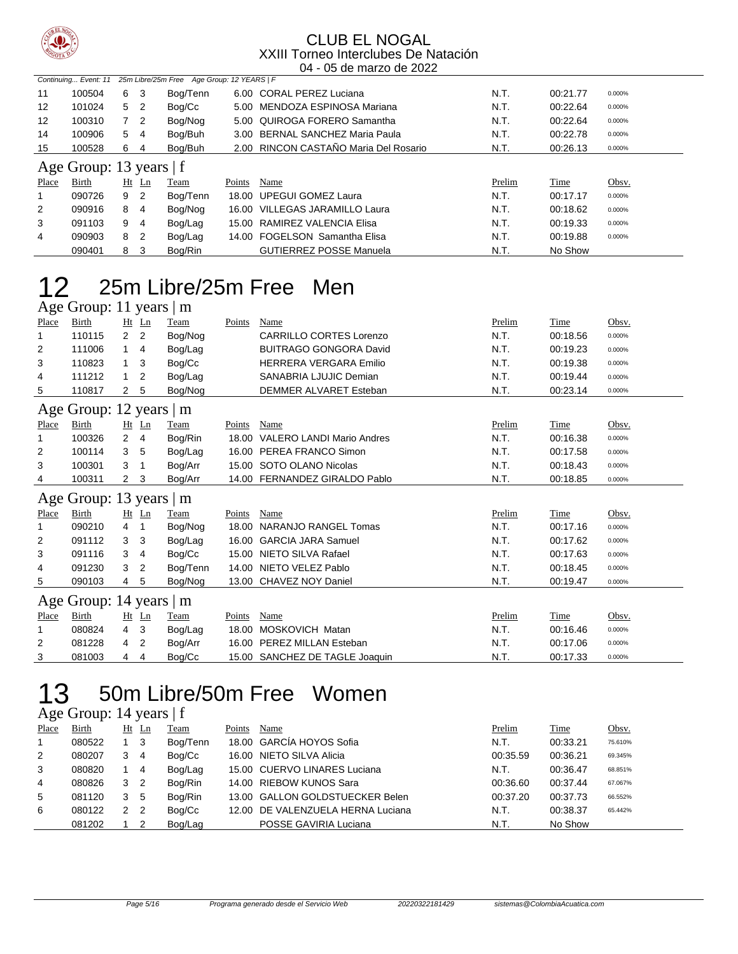

|       | Continuing Event: 11<br>25m Libre/25m Free Age Group: 12 YEARS   F |                |                |          |        |                                       |        |             |        |  |  |
|-------|--------------------------------------------------------------------|----------------|----------------|----------|--------|---------------------------------------|--------|-------------|--------|--|--|
| 11    | 100504                                                             | 6              | -3             | Bog/Tenn |        | 6.00 CORAL PEREZ Luciana              | N.T.   | 00:21.77    | 0.000% |  |  |
| 12    | 101024                                                             | 5              | $\overline{2}$ | Bog/Cc   |        | 5.00 MENDOZA ESPINOSA Mariana         | N.T.   | 00:22.64    | 0.000% |  |  |
| 12    | 100310                                                             | 7 <sup>2</sup> |                | Bog/Nog  |        | 5.00 QUIROGA FORERO Samantha          | N.T.   | 00:22.64    | 0.000% |  |  |
| 14    | 100906                                                             | 5              | 4              | Bog/Buh  |        | 3.00 BERNAL SANCHEZ Maria Paula       | N.T.   | 00:22.78    | 0.000% |  |  |
| 15    | 100528                                                             | 6              | 4              | Bog/Buh  |        | 2.00 RINCON CASTAÑO Maria Del Rosario | N.T.   | 00:26.13    | 0.000% |  |  |
|       | Age Group: 13 years   f                                            |                |                |          |        |                                       |        |             |        |  |  |
| Place | Birth                                                              | Ht             | Ln             | Team     | Points | Name                                  | Prelim | <b>Time</b> | Obsv.  |  |  |
|       | 090726                                                             | 9              | $\overline{2}$ | Bog/Tenn |        | 18.00 UPEGUI GOMEZ Laura              | N.T.   | 00:17.17    | 0.000% |  |  |
| 2     | 090916                                                             | 8              | 4              | Bog/Nog  |        | 16.00 VILLEGAS JARAMILLO Laura        | N.T.   | 00:18.62    | 0.000% |  |  |
| 3     | 091103                                                             | 9              | 4              | Bog/Lag  |        | 15.00 RAMIREZ VALENCIA Elisa          | N.T.   | 00:19.33    | 0.000% |  |  |
| 4     | 090903                                                             | 8              | $\overline{2}$ | Bog/Lag  |        | 14.00 FOGELSON Samantha Elisa         | N.T.   | 00:19.88    | 0.000% |  |  |
|       | 090401                                                             | 8              | -3             | Bog/Rin  |        | <b>GUTIERREZ POSSE Manuela</b>        | N.T.   | No Show     |        |  |  |

# 25m Libre/25m Free Men

Age Group: 11 years | m Place Birth Ht Ln Team Points Name Prelim Time Obsv. 110115 2 2 Bog/Nog CARRILLO CORTES Lorenzo N.T. 00:18.56 0.000% 111006 1 4 Bog/Lag BUITRAGO GONGORA David N.T. 00:19.23 0.000% 110823 1 3 Bog/Cc HERRERA VERGARA Emilio N.T. 00:19.38 0.000% 111212 1 2 Bog/Lag SANABRIA LJUJIC Demian N.T. 00:19.44 0.000% 110817 2 5 Bog/Nog DEMMER ALVARET Esteban N.T. 00:23.14 0.000% Age Group: 12 years | m Place Birth Ht Ln Team Points Name Prelim Time Obsv. 100326 2 4 Bog/Rin 18.00 VALERO LANDI Mario Andres N.T. 00:16.38 0.000% 100114 3 5 Bog/Lag 16.00 PEREA FRANCO Simon N.T. 00:17.58 0.000% 100301 3 1 Bog/Arr 15.00 SOTO OLANO Nicolas N.T. 00:18.43 0.000% 100311 2 3 Bog/Arr 14.00 FERNANDEZ GIRALDO Pablo N.T. 00:18.85 0.000% Age Group: 13 years | m Place Birth Ht Ln Team Points Name Prelim Time Obsv. 090210 4 1 Bog/Nog 18.00 NARANJO RANGEL Tomas N.T. 00:17.16 0.000% 091112 3 3 Bog/Lag 16.00 GARCIA JARA Samuel N.T. 00:17.62 0.000% 3 091116 3 4 Bog/Cc 15.00 NIETO SILVA Rafael N.T. 00:17.63 0.000% 091230 3 2 Bog/Tenn 14.00 NIETO VELEZ Pablo N.T. 00:18.45 0.000% 090103 4 5 Bog/Nog 13.00 CHAVEZ NOY Daniel N.T. 00:19.47 0.000% Age Group: 14 years | m Place Birth Ht Ln Team Points Name Prelim Time Obsv. 080824 4 3 Bog/Lag 18.00 MOSKOVICH Matan N.T. 00:16.46 0.000% 081228 4 2 Bog/Arr 16.00 PEREZ MILLAN Esteban N.T. 00:17.06 0.000%

# 50m Libre/50m Free Women

Age Group: 14 years | f Place Birth Ht Ln Team Points Name Prelim Time Obsv. 1 080522 1 3 Bog/Tenn 18.00 GARCÍA HOYOS Sofia N.T. 00:33.21 75.610% 080207 3 4 Bog/Cc 16.00 NIETO SILVA Alicia 00:35.59 00:36.21 69.345% 3 080820 1 4 Bog/Lag 15.00 CUERVO LINARES Luciana 1 1.1. 00:36.47 68.851% 080826 3 2 Bog/Rin 14.00 RIEBOW KUNOS Sara 00:36.60 00:37.44 67.067% 081120 3 5 Bog/Rin 13.00 GALLON GOLDSTUECKER Belen 00:37.20 00:37.73 66.552% 080122 2 2 Bog/Cc 12.00 DE VALENZUELA HERNA Luciana N.T. 00:38.37 65.442% 081202 1 2 Bog/Lag POSSE GAVIRIA Luciana N.T. No Show

081003 4 4 Bog/Cc 15.00 SANCHEZ DE TAGLE Joaquin N.T. 00:17.33 0.000%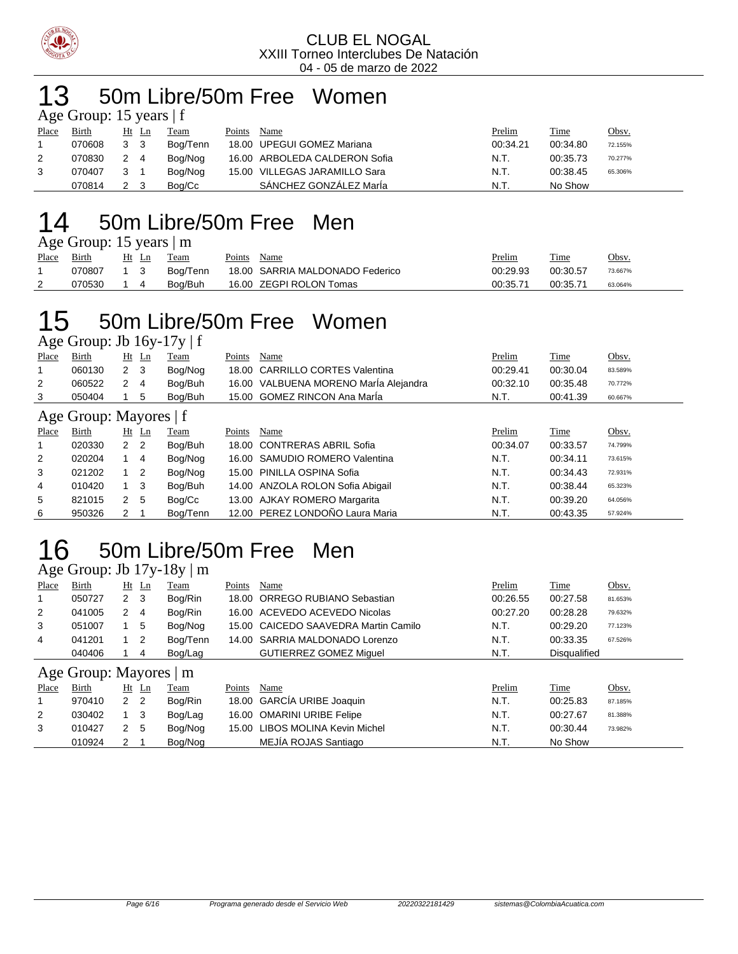

#### 50m Libre/50m Free Women

| Age Group: 15 years $ f $ |        |       |    |          |        |                               |          |          |         |
|---------------------------|--------|-------|----|----------|--------|-------------------------------|----------|----------|---------|
| Place                     | Birth  | Ht Ln |    | Team     | Points | Name                          | Prelim   | Time     | Obsv.   |
|                           | 070608 | 3     | -3 | Bog/Tenn |        | 18.00 UPEGUI GOMEZ Mariana    | 00:34.21 | 00:34.80 | 72.155% |
| 2                         | 070830 | 2     | -4 | Bog/Nog  |        | 16.00 ARBOLEDA CALDERON Sofia | N.T.     | 00:35.73 | 70.277% |
| 3                         | 070407 | 3     |    | Bog/Nog  |        | 15.00 VILLEGAS JARAMILLO Sara | N.T.     | 00:38.45 | 65.306% |
|                           | 070814 |       |    | Boa/Cc   |        | SÁNCHEZ GONZÁLEZ MarÍa        | N.T.     | No Show  |         |

#### 50m Libre/50m Free Men

| Age Group: 15 years   m |  |  |
|-------------------------|--|--|
|-------------------------|--|--|

| Place    | Birth  | Ht<br>Ln | Team     | Points | Name                            | Prelim   | Time     | <u>Obsv.</u> |
|----------|--------|----------|----------|--------|---------------------------------|----------|----------|--------------|
|          | 070807 |          | Boa/Tenn |        | 18.00 SARRIA MALDONADO Federico | 00:29.93 | 00:30.57 | 73.667%      |
| <u>_</u> | 070530 |          | Boa/Buh  |        | 16.00 ZEGPI ROLON Tomas         | 00:35.71 | 00:35.71 | 63.064%      |

## 50m Libre/50m Free Women

Age Group: Jb 16y-17y | f

| Place                  | Birth  |                | $Ht$ Ln | Team     | Points | Name                                  | Prelim   | Time        | Obsv.   |  |
|------------------------|--------|----------------|---------|----------|--------|---------------------------------------|----------|-------------|---------|--|
|                        | 060130 | 2 <sub>3</sub> |         | Bog/Nog  |        | 18.00 CARRILLO CORTES Valentina       | 00:29.41 | 00:30.04    | 83.589% |  |
| 2                      | 060522 | 2              | 4       | Bog/Buh  |        | 16.00 VALBUENA MORENO MarÍa Alejandra | 00:32.10 | 00:35.48    | 70.772% |  |
| 3                      | 050404 |                | 5       | Bog/Buh  |        | 15.00 GOMEZ RINCON Ana María          | N.T.     | 00:41.39    | 60.667% |  |
| Age Group: Mayores   f |        |                |         |          |        |                                       |          |             |         |  |
| Place                  | Birth  |                | $Ht$ Ln | Team     | Points | Name                                  | Prelim   | <b>Time</b> | Obsv.   |  |
|                        | 020330 | 2 <sub>2</sub> |         | Bog/Buh  |        | 18.00 CONTRERAS ABRIL Sofia           | 00:34.07 | 00:33.57    | 74.799% |  |
| 2                      | 020204 |                | -4      | Bog/Nog  |        | 16.00 SAMUDIO ROMERO Valentina        | N.T.     | 00:34.11    | 73.615% |  |
| 3                      | 021202 | $1\quad 2$     |         | Bog/Nog  |        | 15.00 PINILLA OSPINA Sofia            | N.T.     | 00:34.43    | 72.931% |  |
| 4                      | 010420 | $1 \quad 3$    |         | Bog/Buh  |        | 14.00 ANZOLA ROLON Sofia Abigail      | N.T.     | 00:38.44    | 65.323% |  |
| 5                      | 821015 | 2 <sub>5</sub> |         | Bog/Cc   |        | 13.00 AJKAY ROMERO Margarita          | N.T.     | 00:39.20    | 64.056% |  |
| 6                      | 950326 | 2              |         | Bog/Tenn |        | 12.00 PEREZ LONDOÑO Laura Maria       | N.T.     | 00:43.35    | 57.924% |  |

# 50m Libre/50m Free Men

Age Group: Jb  $17v-18v \mid m$ 

| ີ     |                    |                |                |          |        |                                      |          |                     |         |
|-------|--------------------|----------------|----------------|----------|--------|--------------------------------------|----------|---------------------|---------|
| Place | Birth              |                | $Ht$ Ln        | Team     | Points | Name                                 | Prelim   | <b>Time</b>         | Obsv.   |
|       | 050727             | $2 \quad 3$    |                | Bog/Rin  |        | 18.00 ORREGO RUBIANO Sebastian       | 00:26.55 | 00:27.58            | 81.653% |
| 2     | 041005             | $\mathbf{2}$   | 4              | Bog/Rin  |        | 16.00 ACEVEDO ACEVEDO Nicolas        | 00:27.20 | 00:28.28            | 79.632% |
| 3     | 051007             |                | 5              | Bog/Nog  |        | 15.00 CAICEDO SAAVEDRA Martin Camilo | N.T.     | 00:29.20            | 77.123% |
| 4     | 041201             |                | $\overline{2}$ | Bog/Tenn |        | 14.00 SARRIA MALDONADO Lorenzo       | N.T.     | 00:33.35            | 67.526% |
|       | 040406             |                | 4              | Bog/Lag  |        | <b>GUTIERREZ GOMEZ Miquel</b>        | N.T.     | <b>Disqualified</b> |         |
|       | Age Group: Mayores |                |                | m        |        |                                      |          |                     |         |
| Place | <b>Birth</b>       |                | $Ht$ Ln        | Team     | Points | Name                                 | Prelim   | Time                | Obsv.   |
|       | 970410             | 2 <sub>2</sub> |                | Bog/Rin  |        | 18.00 GARCIA URIBE Joaquin           | N.T.     | 00:25.83            | 87.185% |
| 2     | 030402             | 1              | - 3            | Bog/Lag  |        | 16.00 OMARINI URIBE Felipe           | N.T.     | 00:27.67            | 81.388% |
| 3     | 010427             | 2              | - 5            | Bog/Nog  |        | 15.00 LIBOS MOLINA Kevin Michel      | N.T.     | 00:30.44            | 73.982% |
|       | 010924             | $\mathbf{2}$   |                | Bog/Nog  |        | MEJIA ROJAS Santiago                 | N.T.     | No Show             |         |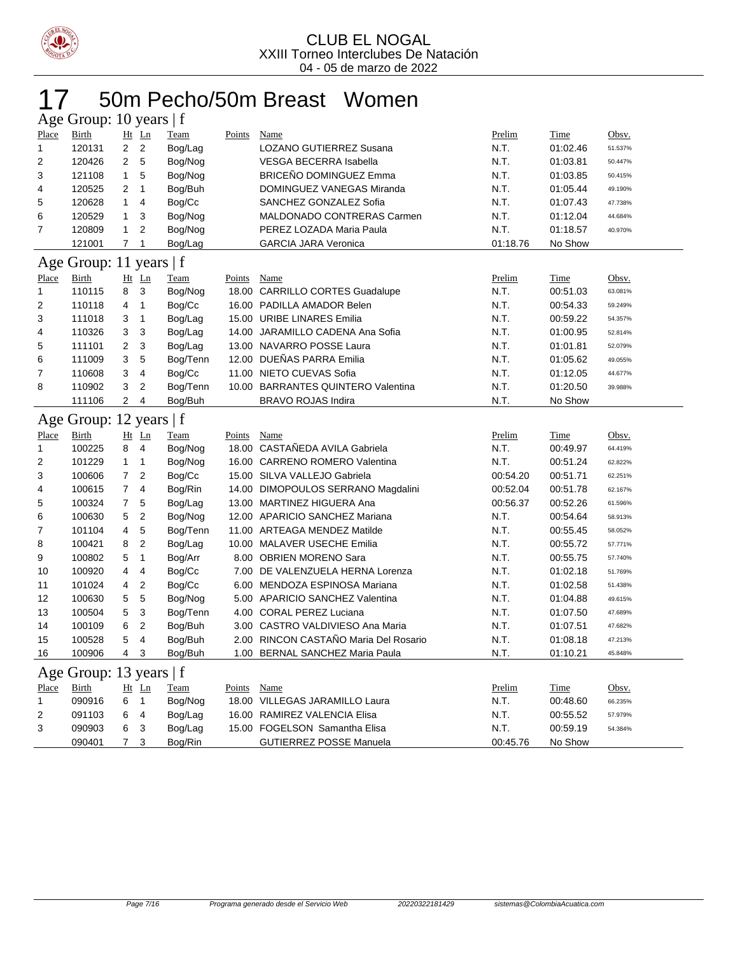

## 50m Pecho/50m Breast Women

| Age Group: 10 years   f |                         |                |                |             |               |                                       |          |             |         |
|-------------------------|-------------------------|----------------|----------------|-------------|---------------|---------------------------------------|----------|-------------|---------|
| Place                   | Birth                   |                | Ht Ln          | <b>Team</b> | <b>Points</b> | Name                                  | Prelim   | Time        | Obsv.   |
| 1                       | 120131                  | $\overline{2}$ | $\overline{2}$ | Bog/Lag     |               | <b>LOZANO GUTIERREZ Susana</b>        | N.T.     | 01:02.46    | 51.537% |
| 2                       | 120426                  | 2              | 5              | Bog/Nog     |               | <b>VESGA BECERRA Isabella</b>         | N.T.     | 01:03.81    | 50.447% |
| 3                       | 121108                  | $\mathbf{1}$   | 5              | Bog/Nog     |               | <b>BRICEÑO DOMINGUEZ Emma</b>         | N.T.     | 01:03.85    | 50.415% |
| 4                       | 120525                  | 2              | $\mathbf{1}$   | Bog/Buh     |               | DOMINGUEZ VANEGAS Miranda             | N.T.     | 01:05.44    | 49.190% |
| 5                       | 120628                  | 1              | 4              | Bog/Cc      |               | SANCHEZ GONZALEZ Sofia                | N.T.     | 01:07.43    | 47.738% |
| 6                       | 120529                  | 1              | 3              | Bog/Nog     |               | MALDONADO CONTRERAS Carmen            | N.T.     | 01:12.04    | 44.684% |
| 7                       | 120809                  | 1              | 2              | Bog/Nog     |               | PEREZ LOZADA Maria Paula              | N.T.     | 01:18.57    | 40.970% |
|                         | 121001                  | $\overline{7}$ | 1              | Bog/Lag     |               | <b>GARCIA JARA Veronica</b>           | 01:18.76 | No Show     |         |
| Age Group: 11 years   f |                         |                |                |             |               |                                       |          |             |         |
| Place                   | <b>Birth</b>            |                | Ht Ln          | <b>Team</b> | Points        | Name                                  | Prelim   | <u>Time</u> | Obsv.   |
| 1                       | 110115                  | 8              | 3              | Bog/Nog     |               | 18.00 CARRILLO CORTES Guadalupe       | N.T.     | 00:51.03    | 63.081% |
| 2                       | 110118                  | 4              | 1              | Bog/Cc      |               | 16.00 PADILLA AMADOR Belen            | N.T.     | 00:54.33    | 59.249% |
| 3                       | 111018                  | 3              | 1              | Bog/Lag     |               | 15.00 URIBE LINARES Emilia            | N.T.     | 00:59.22    | 54.357% |
| 4                       | 110326                  | 3              | 3              | Bog/Lag     |               | 14.00 JARAMILLO CADENA Ana Sofia      | N.T.     | 01:00.95    | 52.814% |
| 5                       | 111101                  | 2              | 3              | Bog/Lag     |               | 13.00 NAVARRO POSSE Laura             | N.T.     | 01:01.81    | 52.079% |
| 6                       | 111009                  | 3              | 5              | Bog/Tenn    |               | 12.00 DUEÑAS PARRA Emilia             | N.T.     | 01:05.62    | 49.055% |
| 7                       | 110608                  | 3              | 4              | Bog/Cc      |               | 11.00 NIETO CUEVAS Sofia              | N.T.     | 01:12.05    | 44.677% |
| 8                       | 110902                  | 3              | 2              | Bog/Tenn    |               | 10.00 BARRANTES QUINTERO Valentina    | N.T.     | 01:20.50    | 39.988% |
|                         | 111106                  | 2              | 4              | Bog/Buh     |               | <b>BRAVO ROJAS Indira</b>             | N.T.     | No Show     |         |
|                         |                         |                |                |             |               |                                       |          |             |         |
|                         | Age Group: 12 years   f |                |                |             |               |                                       |          |             |         |
| Place                   | Birth                   |                | Ht Ln          | <b>Team</b> | Points        | Name                                  | Prelim   | <u>Time</u> | Obsv.   |
| 1                       | 100225                  | 8              | 4              | Bog/Nog     |               | 18.00 CASTAÑEDA AVILA Gabriela        | N.T.     | 00:49.97    | 64.419% |
| 2                       | 101229                  | 1              | 1              | Bog/Nog     |               | 16.00 CARRENO ROMERO Valentina        | N.T.     | 00:51.24    | 62.822% |
| 3                       | 100606                  | 7              | $\overline{2}$ | Bog/Cc      |               | 15.00 SILVA VALLEJO Gabriela          | 00:54.20 | 00:51.71    | 62.251% |
| 4                       | 100615                  | 7              | 4              | Bog/Rin     |               | 14.00 DIMOPOULOS SERRANO Magdalini    | 00:52.04 | 00:51.78    | 62.167% |
| 5                       | 100324                  | 7              | 5              | Bog/Lag     |               | 13.00 MARTINEZ HIGUERA Ana            | 00:56.37 | 00:52.26    | 61.596% |
| 6                       | 100630                  | 5              | $\overline{2}$ | Bog/Nog     |               | 12.00 APARICIO SANCHEZ Mariana        | N.T.     | 00:54.64    | 58.913% |
| 7                       | 101104                  | 4              | 5              | Bog/Tenn    |               | 11.00 ARTEAGA MENDEZ Matilde          | N.T.     | 00:55.45    | 58.052% |
| 8                       | 100421                  | 8              | $\overline{c}$ | Bog/Lag     |               | 10.00 MALAVER USECHE Emilia           | N.T.     | 00:55.72    | 57.771% |
| 9                       | 100802                  | 5              | 1              | Bog/Arr     |               | 8.00 OBRIEN MORENO Sara               | N.T.     | 00:55.75    | 57.740% |
| 10                      | 100920                  | 4              | 4              | Bog/Cc      |               | 7.00 DE VALENZUELA HERNA Lorenza      | N.T.     | 01:02.18    | 51.769% |
| 11                      | 101024                  | 4              | 2              | Bog/Cc      |               | 6.00 MENDOZA ESPINOSA Mariana         | N.T.     | 01:02.58    | 51.438% |
| 12                      | 100630                  | 5              | 5              | Bog/Nog     |               | 5.00 APARICIO SANCHEZ Valentina       | N.T.     | 01:04.88    | 49.615% |
| 13                      | 100504                  | 5              | 3              | Bog/Tenn    |               | 4.00 CORAL PEREZ Luciana              | N.T.     | 01:07.50    | 47.689% |
| 14                      | 100109                  | 6              | $\overline{2}$ | Bog/Buh     |               | 3.00 CASTRO VALDIVIESO Ana Maria      | N.T.     | 01:07.51    | 47.682% |
| 15                      | 100528                  | 5              | 4              | Bog/Buh     |               | 2.00 RINCON CASTAÑO Maria Del Rosario | N.T.     | 01:08.18    | 47.213% |
| 16                      | 100906                  | 4              | $\overline{3}$ | Bog/Buh     |               | 1.00 BERNAL SANCHEZ Maria Paula       | N.T.     | 01:10.21    | 45.848% |
|                         | Age Group: 13 years   f |                |                |             |               |                                       |          |             |         |
| Place                   | <b>Birth</b>            |                | Ht Ln          | <b>Team</b> | Points Name   |                                       | Prelim   | <b>Time</b> | Obsv.   |
| 1                       | 090916                  | 6              | $\mathbf{1}$   | Bog/Nog     |               | 18.00 VILLEGAS JARAMILLO Laura        | N.T.     | 00:48.60    | 66.235% |
| 2                       | 091103                  | 6              | 4              | Bog/Lag     |               | 16.00 RAMIREZ VALENCIA Elisa          | N.T.     | 00:55.52    | 57.979% |
| 3                       | 090903                  | 6              | 3              | Bog/Lag     |               | 15.00 FOGELSON Samantha Elisa         | N.T.     | 00:59.19    | 54.384% |
|                         | 090401                  | $7^{\circ}$    | 3              | Bog/Rin     |               | <b>GUTIERREZ POSSE Manuela</b>        | 00:45.76 | No Show     |         |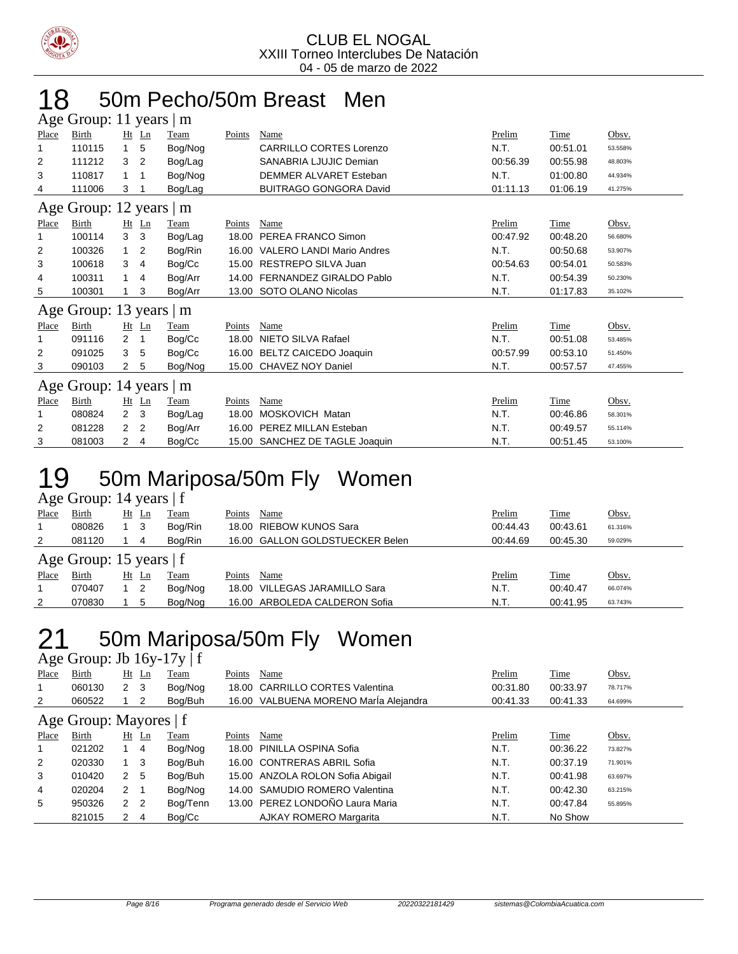

## 18 50m Pecho/50m Breast Men

| Age Group: 11 years   m    |                     |                |                |              |        |                                 |          |          |         |  |
|----------------------------|---------------------|----------------|----------------|--------------|--------|---------------------------------|----------|----------|---------|--|
| Place                      | Birth               |                | $Ht$ Ln        | Team         | Points | Name                            | Prelim   | Time     | Obsv.   |  |
|                            | 110115              | 1              | 5              | Bog/Nog      |        | <b>CARRILLO CORTES Lorenzo</b>  | N.T.     | 00:51.01 | 53.558% |  |
| 2                          | 111212              | 3              | 2              | Bog/Lag      |        | SANABRIA LJUJIC Demian          | 00:56.39 | 00:55.98 | 48.803% |  |
| 3                          | 110817              | 1              | 1              | Bog/Nog      |        | DEMMER ALVARET Esteban          | N.T.     | 01:00.80 | 44.934% |  |
| 4                          | 111006              | 3              | 1              | Bog/Lag      |        | <b>BUITRAGO GONGORA David</b>   | 01:11.13 | 01:06.19 | 41.275% |  |
| Age Group: 12 years  <br>m |                     |                |                |              |        |                                 |          |          |         |  |
| Place                      | Birth               |                | $Ht$ Ln        | <b>Team</b>  | Points | Name                            | Prelim   | Time     | Obsv.   |  |
| 1                          | 100114              | 3              | 3              | Bog/Lag      | 18.00  | PEREA FRANCO Simon              | 00:47.92 | 00:48.20 | 56.680% |  |
| 2                          | 100326              | 1              | 2              | Bog/Rin      |        | 16.00 VALERO LANDI Mario Andres | N.T.     | 00:50.68 | 53.907% |  |
| 3                          | 100618              | 3              | 4              | Bog/Cc       |        | 15.00 RESTREPO SILVA Juan       | 00:54.63 | 00:54.01 | 50.583% |  |
| 4                          | 100311              |                | 4              | Bog/Arr      |        | 14.00 FERNANDEZ GIRALDO Pablo   | N.T.     | 00:54.39 | 50.230% |  |
| 5                          | 100301              |                | 3              | Bog/Arr      |        | 13.00 SOTO OLANO Nicolas        | N.T.     | 01:17.83 | 35.102% |  |
|                            | Age Group: 13 years |                |                | $\mid$ m     |        |                                 |          |          |         |  |
| Place                      | Birth               |                | $Ht$ Ln        | Team         | Points | Name                            | Prelim   | Time     | Obsv.   |  |
| $\mathbf 1$                | 091116              | $\overline{2}$ | -1             | Bog/Cc       | 18.00  | NIETO SILVA Rafael              | N.T.     | 00:51.08 | 53.485% |  |
| 2                          | 091025              | 3              | 5              | Bog/Cc       | 16.00  | BELTZ CAICEDO Joaquin           | 00:57.99 | 00:53.10 | 51.450% |  |
| 3                          | 090103              | $\overline{2}$ | 5              | Bog/Nog      |        | 15.00 CHAVEZ NOY Daniel         | N.T.     | 00:57.57 | 47.455% |  |
|                            | Age Group: 14 years |                |                | $\mathsf{m}$ |        |                                 |          |          |         |  |
| Place                      | Birth               |                | $Ht$ Ln        | Team         | Points | Name                            | Prelim   | Time     | Obsv.   |  |
|                            | 080824              | $\overline{2}$ | 3              | Bog/Lag      | 18.00  | MOSKOVICH Matan                 | N.T.     | 00:46.86 | 58.301% |  |
| 2                          | 081228              | 2              | $\overline{2}$ | Bog/Arr      | 16.00  | PEREZ MILLAN Esteban            | N.T.     | 00:49.57 | 55.114% |  |
| 3                          | 081003              | 2              | 4              | Boa/Cc       |        | 15.00 SANCHEZ DE TAGLE Joaquin  | N.T.     | 00:51.45 | 53.100% |  |

#### 19 50m Mariposa/50m Fly Women

| Age Group: 14 years   f |  |  |
|-------------------------|--|--|
|-------------------------|--|--|

| Place | Birth                     |  | $Ht$ Ln | Team    | Points | Name                            | Prelim   | Time     | Obsv.   |  |
|-------|---------------------------|--|---------|---------|--------|---------------------------------|----------|----------|---------|--|
|       | 080826                    |  |         | Bog/Rin |        | 18.00 RIEBOW KUNOS Sara         | 00:44.43 | 00:43.61 | 61.316% |  |
| 2     | 081120                    |  | 4       | Boa/Rin |        | 16.00 GALLON GOLDSTUECKER Belen | 00:44.69 | 00:45.30 | 59.029% |  |
|       | Age Group: 15 years $ f $ |  |         |         |        |                                 |          |          |         |  |
| Place | Birth                     |  | Ht Ln   | Team    | Points | Name                            | Prelim   | Time     | Obsv.   |  |
|       | 070407                    |  |         | Bog/Nog |        | 18.00 VILLEGAS JARAMILLO Sara   | N.T.     | 00:40.47 | 66.074% |  |
| 2     | 070830                    |  | -5      | Bog/Nog |        | 16.00 ARBOLEDA CALDERON Sofia   | N.T.     | 00:41.95 | 63.743% |  |

## 21 50m Mariposa/50m Fly Women

Age Group: Jb 16y-17y | f

| Place | Birth                  |                | $Ht$ Ln        | Team     | Points | Name                                  | Prelim   | Time     | Obsv.   |  |  |  |  |  |
|-------|------------------------|----------------|----------------|----------|--------|---------------------------------------|----------|----------|---------|--|--|--|--|--|
|       | 060130                 | $\overline{2}$ | -3             | Bog/Nog  |        | 18.00 CARRILLO CORTES Valentina       | 00:31.80 | 00:33.97 | 78.717% |  |  |  |  |  |
| 2     | 060522                 |                | 2              | Bog/Buh  |        | 16.00 VALBUENA MORENO Marla Alejandra | 00:41.33 | 00:41.33 | 64.699% |  |  |  |  |  |
|       | Age Group: Mayores   f |                |                |          |        |                                       |          |          |         |  |  |  |  |  |
| Place | Birth                  | Ht             | $\mathbf{L}$ n | Team     | Points | Name                                  | Prelim   | Time     | Obsv.   |  |  |  |  |  |
| 1     | 021202                 |                | $\overline{4}$ | Bog/Nog  |        | 18.00 PINILLA OSPINA Sofia            | N.T.     | 00:36.22 | 73.827% |  |  |  |  |  |
| 2     | 020330                 |                | 3              | Bog/Buh  |        | 16.00 CONTRERAS ABRIL Sofia           | N.T.     | 00:37.19 | 71.901% |  |  |  |  |  |
| 3     | 010420                 | $\mathbf{2}$   | 5              | Bog/Buh  |        | 15.00 ANZOLA ROLON Sofia Abigail      | N.T.     | 00:41.98 | 63.697% |  |  |  |  |  |
| 4     | 020204                 | 2              |                | Bog/Nog  |        | 14.00 SAMUDIO ROMERO Valentina        | N.T.     | 00:42.30 | 63.215% |  |  |  |  |  |
| 5     | 950326                 | 2 <sub>2</sub> |                | Bog/Tenn |        | 13.00 PEREZ LONDOÑO Laura Maria       | N.T.     | 00:47.84 | 55.895% |  |  |  |  |  |
|       | 821015                 | 2              | 4              | Bog/Cc   |        | AJKAY ROMERO Margarita                | N.T.     | No Show  |         |  |  |  |  |  |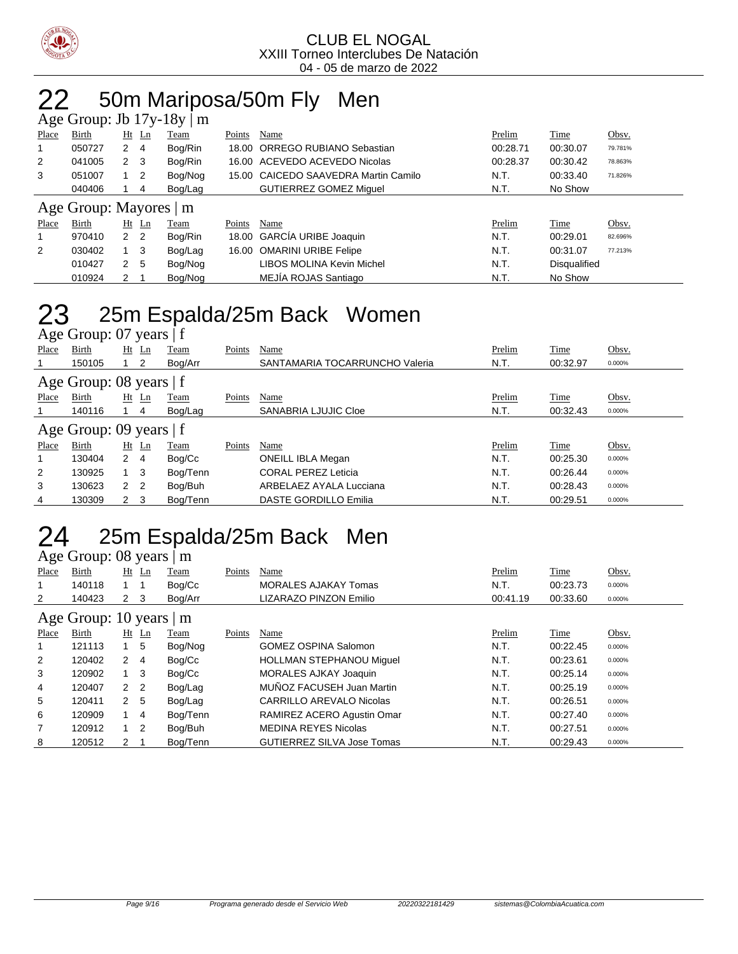

# 22 50m Mariposa/50m Fly Men

|                | Age Group: Jb $17y-18y \mid m$ |                |                |         |        |                                      |          |                     |         |  |  |  |
|----------------|--------------------------------|----------------|----------------|---------|--------|--------------------------------------|----------|---------------------|---------|--|--|--|
| Place          | Birth                          |                | $Ht$ Ln        | Team    | Points | Name                                 | Prelim   | Time                | Obsv.   |  |  |  |
|                | 050727                         | $\mathbf{2}$   | -4             | Bog/Rin |        | 18.00 ORREGO RUBIANO Sebastian       | 00:28.71 | 00:30.07            | 79.781% |  |  |  |
| $\overline{2}$ | 041005                         | 2 <sub>3</sub> |                | Bog/Rin |        | 16.00 ACEVEDO ACEVEDO Nicolas        | 00:28.37 | 00:30.42            | 78.863% |  |  |  |
| 3              | 051007                         |                | $\overline{2}$ | Bog/Nog |        | 15.00 CAICEDO SAAVEDRA Martin Camilo | N.T.     | 00:33.40            | 71.826% |  |  |  |
|                | 040406                         |                | 4              | Bog/Lag |        | <b>GUTIERREZ GOMEZ Miquel</b>        | N.T.     | No Show             |         |  |  |  |
|                | Age Group: Mayores   m         |                |                |         |        |                                      |          |                     |         |  |  |  |
| Place          | Birth                          | Ht             | Ln             | Team    | Points | Name                                 | Prelim   | Time                | Obsv.   |  |  |  |
|                | 970410                         | 2 <sub>2</sub> |                | Bog/Rin |        | 18.00 GARCIA URIBE Joaquin           | N.T.     | 00:29.01            | 82.696% |  |  |  |
| 2              | 030402                         | $1 \quad 3$    |                | Bog/Lag |        | 16.00 OMARINI URIBE Felipe           | N.T.     | 00:31.07            | 77.213% |  |  |  |
|                | 010427                         | 2              | 5              | Bog/Nog |        | LIBOS MOLINA Kevin Michel            | N.T.     | <b>Disqualified</b> |         |  |  |  |
|                |                                |                |                |         |        |                                      |          |                     |         |  |  |  |

# 23 25m Espalda/25m Back Women

|                           | Age Group: 07 years   f |              |                |          |        |                                |        |          |        |  |  |  |  |
|---------------------------|-------------------------|--------------|----------------|----------|--------|--------------------------------|--------|----------|--------|--|--|--|--|
| Place                     | Birth                   |              | $Ht$ Ln        | Team     | Points | Name                           | Prelim | Time     | Obsv.  |  |  |  |  |
|                           | 150105                  |              | 2              | Bog/Arr  |        | SANTAMARIA TOCARRUNCHO Valeria | N.T.   | 00:32.97 | 0.000% |  |  |  |  |
|                           | Age Group: 08 years   f |              |                |          |        |                                |        |          |        |  |  |  |  |
| Place                     | Birth                   |              | <u>Ht Ln</u>   | Team     | Points | Name                           | Prelim | Time     | Obsv.  |  |  |  |  |
|                           | 140116                  |              | 4              | Bog/Lag  |        | SANABRIA LJUJIC Cloe           | N.T.   | 00:32.43 | 0.000% |  |  |  |  |
| Age Group: 09 years $ f $ |                         |              |                |          |        |                                |        |          |        |  |  |  |  |
|                           |                         |              |                |          |        |                                |        |          |        |  |  |  |  |
| Place                     | Birth                   |              | <u>Ht Ln</u>   | Team     | Points | Name                           | Prelim | Time     | Obsv.  |  |  |  |  |
| 1                         | 130404                  | $\mathbf{2}$ | -4             | Bog/Cc   |        | <b>ONEILL IBLA Megan</b>       | N.T.   | 00:25.30 | 0.000% |  |  |  |  |
| $\overline{2}$            | 130925                  | $1 \quad 3$  |                | Bog/Tenn |        | <b>CORAL PEREZ Leticia</b>     | N.T.   | 00:26.44 | 0.000% |  |  |  |  |
| 3                         | 130623                  | 2            | $\overline{2}$ | Bog/Buh  |        | ARBELAEZ AYALA Lucciana        | N.T.   | 00:28.43 | 0.000% |  |  |  |  |

# 24 25m Espalda/25m Back Men

|                | Age Group: 08 years   m   |                      |                |          |        |                                   |          |          |        |
|----------------|---------------------------|----------------------|----------------|----------|--------|-----------------------------------|----------|----------|--------|
| Place          | Birth                     |                      | $Ht$ Ln        | Team     | Points | Name                              | Prelim   | Time     | Obsv.  |
|                | 140118                    |                      |                | Bog/Cc   |        | <b>MORALES AJAKAY Tomas</b>       | N.T.     | 00:23.73 | 0.000% |
| 2              | 140423                    | 2                    | -3             | Bog/Arr  |        | <b>LIZARAZO PINZON Emilio</b>     | 00:41.19 | 00:33.60 | 0.000% |
|                | Age Group: 10 years $ m $ |                      |                |          |        |                                   |          |          |        |
| Place          | Birth                     |                      | $Ht$ Ln        | Team     | Points | Name                              | Prelim   | Time     | Obsv.  |
|                | 121113                    | $\mathbf{1}$         | 5              | Bog/Nog  |        | <b>GOMEZ OSPINA Salomon</b>       | N.T.     | 00:22.45 | 0.000% |
| $\overline{2}$ | 120402                    | $\mathbf{2}^{\circ}$ | 4              | Bog/Cc   |        | <b>HOLLMAN STEPHANOU Miquel</b>   | N.T.     | 00:23.61 | 0.000% |
| 3              | 120902                    |                      | -3             | Bog/Cc   |        | MORALES AJKAY Joaquin             | N.T.     | 00:25.14 | 0.000% |
| 4              | 120407                    | 2                    | $\overline{2}$ | Bog/Lag  |        | MUÑOZ FACUSEH Juan Martin         | N.T.     | 00:25.19 | 0.000% |
| 5              | 120411                    | $\mathbf{2}$         | 5              | Bog/Lag  |        | <b>CARRILLO AREVALO Nicolas</b>   | N.T.     | 00:26.51 | 0.000% |
| 6              | 120909                    |                      | 4              | Bog/Tenn |        | RAMIREZ ACERO Agustin Omar        | N.T.     | 00:27.40 | 0.000% |
|                | 120912                    |                      | $\overline{2}$ | Bog/Buh  |        | <b>MEDINA REYES Nicolas</b>       | N.T.     | 00:27.51 | 0.000% |
| 8              | 120512                    | 2                    |                | Boa/Tenn |        | <b>GUTIERREZ SILVA Jose Tomas</b> | N.T.     | 00:29.43 | 0.000% |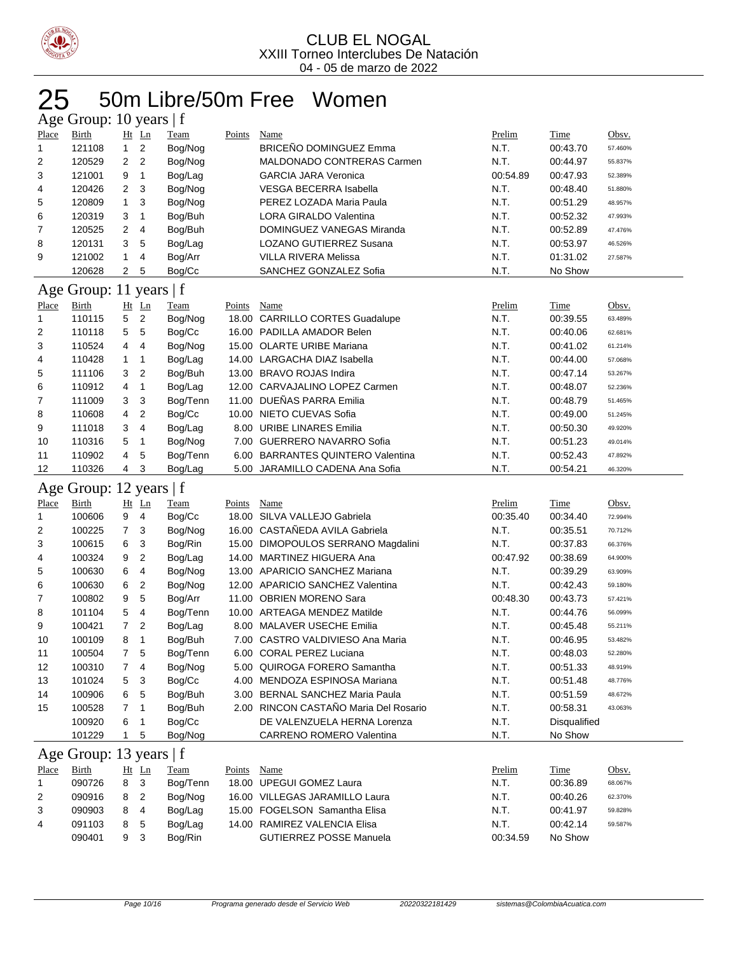

## 25 50m Libre/50m Free Women

|          | Age Group: 10 years   f |                 |                |                    |               |                                                          |                  |                      |         |
|----------|-------------------------|-----------------|----------------|--------------------|---------------|----------------------------------------------------------|------------------|----------------------|---------|
| Place    | <b>Birth</b>            |                 | Ht Ln          | <b>Team</b>        | <b>Points</b> | Name                                                     | Prelim           | Time                 | Obsv.   |
| 1        | 121108                  | $\mathbf{1}$    | $\overline{c}$ | Bog/Nog            |               | <b>BRICEÑO DOMINGUEZ Emma</b>                            | N.T.             | 00:43.70             | 57.460% |
| 2        | 120529                  | 2               | 2              | Bog/Nog            |               | MALDONADO CONTRERAS Carmen                               | N.T.             | 00:44.97             | 55.837% |
| 3        | 121001                  | 9               | 1              | Bog/Lag            |               | <b>GARCIA JARA Veronica</b>                              | 00:54.89         | 00:47.93             | 52.389% |
| 4        | 120426                  | 2               | 3              | Bog/Nog            |               | <b>VESGA BECERRA Isabella</b>                            | N.T.             | 00:48.40             | 51.880% |
| 5        | 120809                  | $\mathbf{1}$    | 3              | Bog/Nog            |               | PEREZ LOZADA Maria Paula                                 | N.T.             | 00:51.29             | 48.957% |
| 6        | 120319                  | 3               | 1              | Bog/Buh            |               | LORA GIRALDO Valentina                                   | N.T.             | 00:52.32             | 47.993% |
| 7        | 120525                  | 2               | 4              | Bog/Buh            |               | DOMINGUEZ VANEGAS Miranda                                | N.T.             | 00:52.89             | 47.476% |
| 8        | 120131                  | 3               | 5              | Bog/Lag            |               | LOZANO GUTIERREZ Susana                                  | N.T.             | 00:53.97             | 46.526% |
| 9        | 121002                  | 1               | 4              | Bog/Arr            |               | <b>VILLA RIVERA Melissa</b>                              | N.T.             | 01:31.02             | 27.587% |
|          | 120628                  | 2               | 5              | Bog/Cc             |               | SANCHEZ GONZALEZ Sofia                                   | N.T.             | No Show              |         |
|          | Age Group: 11 years   f |                 |                |                    |               |                                                          |                  |                      |         |
| Place    | <b>Birth</b>            |                 | $Ht$ Ln        | Team               | Points        | Name                                                     | Prelim           | <b>Time</b>          | Obsv.   |
| 1        | 110115                  | 5               | $\overline{2}$ | Bog/Nog            |               | 18.00 CARRILLO CORTES Guadalupe                          | N.T.             | 00:39.55             | 63.489% |
| 2        | 110118                  | 5               | 5              | Bog/Cc             |               | 16.00 PADILLA AMADOR Belen                               | N.T.             | 00:40.06             | 62.681% |
| 3        | 110524                  | 4               | 4              | Bog/Nog            |               | 15.00 OLARTE URIBE Mariana                               | N.T.             | 00:41.02             | 61.214% |
| 4        | 110428                  | 1               | 1              | Bog/Lag            |               | 14.00 LARGACHA DIAZ Isabella                             | N.T.             | 00:44.00             | 57.068% |
| 5        | 111106                  | 3               | $\overline{2}$ | Bog/Buh            |               | 13.00 BRAVO ROJAS Indira                                 | N.T.             | 00:47.14             | 53.267% |
| 6        | 110912                  | 4               | 1              | Bog/Lag            |               | 12.00 CARVAJALINO LOPEZ Carmen                           | N.T.             | 00:48.07             | 52.236% |
|          | 111009                  |                 | 3              | Bog/Tenn           |               | 11.00 DUEÑAS PARRA Emilia                                | N.T.             | 00:48.79             | 51.465% |
| 7<br>8   | 110608                  | 3<br>4          | 2              | Bog/Cc             |               | 10.00 NIETO CUEVAS Sofia                                 | N.T.             | 00:49.00             | 51.245% |
| 9        | 111018                  | 3               | 4              | Bog/Lag            | 8.00          | <b>URIBE LINARES Emilia</b>                              | N.T.             | 00:50.30             | 49.920% |
|          | 110316                  | 5               | 1              | Bog/Nog            |               | 7.00 GUERRERO NAVARRO Sofia                              | N.T.             |                      | 49.014% |
| 10       |                         |                 |                |                    |               |                                                          |                  | 00:51.23             |         |
| 11       | 110902                  | 4               | 5              | Bog/Tenn           |               | 6.00 BARRANTES QUINTERO Valentina                        | N.T.             | 00:52.43             | 47.892% |
| 12       | 110326                  | 4               | 3              | Bog/Lag            |               | 5.00 JARAMILLO CADENA Ana Sofia                          | N.T.             | 00:54.21             | 46.320% |
|          | Age Group: 12 years   f |                 |                |                    |               |                                                          |                  |                      |         |
|          |                         |                 |                |                    |               |                                                          |                  |                      |         |
| Place    | <b>Birth</b>            |                 | $Ht$ Ln        | <b>Team</b>        | Points        | Name                                                     | Prelim           | <b>Time</b>          | Obsv.   |
| 1        | 100606                  | 9               | $\overline{4}$ | Bog/Cc             |               | 18.00 SILVA VALLEJO Gabriela                             | 00:35.40         | 00:34.40             | 72.994% |
| 2        | 100225                  | 7               | 3              | Bog/Nog            |               | 16.00 CASTAÑEDA AVILA Gabriela                           | N.T.             | 00:35.51             | 70.712% |
| 3        | 100615                  | 6               | 3              | Bog/Rin            | 15.00         | DIMOPOULOS SERRANO Magdalini                             | N.T.             | 00:37.83             | 66.376% |
| 4        | 100324                  | 9               | 2              | Bog/Lag            |               | 14.00 MARTINEZ HIGUERA Ana                               | 00:47.92         | 00:38.69             | 64.900% |
| 5        | 100630                  | 6               | 4              | Bog/Nog            |               | 13.00 APARICIO SANCHEZ Mariana                           | N.T.             | 00:39.29             | 63.909% |
| 6        | 100630                  | 6               | 2              | Bog/Nog            |               | 12.00 APARICIO SANCHEZ Valentina                         | N.T.             | 00:42.43             | 59.180% |
| 7        | 100802                  | 9               | 5              | Bog/Arr            |               | 11.00 OBRIEN MORENO Sara                                 | 00:48.30         | 00:43.73             | 57.421% |
| 8        | 101104                  | 5               | 4              | Bog/Tenn           |               | 10.00 ARTEAGA MENDEZ Matilde                             | N.T.             | 00:44.76             | 56.099% |
| 9        | 100421                  | 7               | 2              | Bog/Lag            |               | 8.00 MALAVER USECHE Emilia                               | N.T.             | 00:45.48             | 55.211% |
| 10       | 100109                  | 8               | 1              | Bog/Buh            |               | 7.00 CASTRO VALDIVIESO Ana Maria                         | N.T.             | 00:46.95             | 53.482% |
|          |                         | 7               | 5              |                    |               |                                                          |                  |                      | 52.280% |
| 11<br>12 | 100504<br>100310        | $7\overline{ }$ | 4              | Bog/Tenn           |               | 6.00 CORAL PEREZ Luciana<br>5.00 QUIROGA FORERO Samantha | N.T.<br>N.T.     | 00:48.03<br>00:51.33 | 48.919% |
|          |                         |                 |                | Bog/Nog            |               |                                                          |                  |                      | 48.776% |
| 13       | 101024                  | 5               | 3              | Bog/Cc             |               | 4.00 MENDOZA ESPINOSA Mariana                            | N.T.             | 00:51.48             | 48.672% |
| 14       | 100906                  | 6               | 5              | Bog/Buh            |               | 3.00 BERNAL SANCHEZ Maria Paula                          | N.T.             | 00:51.59             |         |
| 15       | 100528                  | 7               | 1              | Bog/Buh            |               | 2.00 RINCON CASTAÑO Maria Del Rosario                    | N.T.             | 00:58.31             | 43.063% |
|          | 100920                  | 6               | 1              | Bog/Cc             |               | DE VALENZUELA HERNA Lorenza                              | N.T.             | Disqualified         |         |
|          | 101229                  | 1               | 5              | Bog/Nog            |               | CARRENO ROMERO Valentina                                 | N.T.             | No Show              |         |
|          | Age Group: 13 years   f |                 |                |                    |               |                                                          |                  |                      |         |
| Place    | Birth                   |                 | Ht Ln          | <b>Team</b>        | Points Name   |                                                          | Prelim           | <b>Time</b>          | Obsv.   |
| 1        | 090726                  | 8               | 3              | Bog/Tenn           |               | 18.00 UPEGUI GOMEZ Laura                                 | N.T.             | 00:36.89             | 68.067% |
| 2        | 090916                  | 8               | 2              | Bog/Nog            |               | 16.00 VILLEGAS JARAMILLO Laura                           | N.T.             | 00:40.26             | 62.370% |
| 3        | 090903                  | 8               | 4              | Bog/Lag            |               | 15.00 FOGELSON Samantha Elisa                            | N.T.             | 00:41.97             | 59.828% |
| 4        | 091103<br>090401        | 8<br>9          | 5<br>3         | Bog/Lag<br>Bog/Rin |               | 14.00 RAMIREZ VALENCIA Elisa<br>GUTIERREZ POSSE Manuela  | N.T.<br>00:34.59 | 00:42.14<br>No Show  | 59.587% |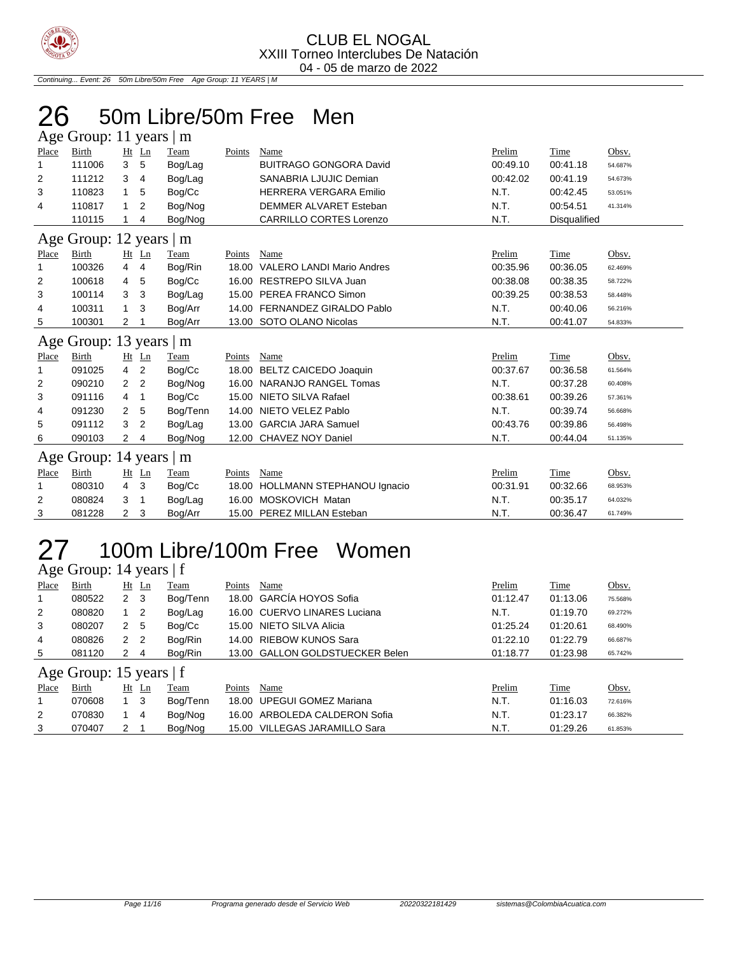

Continuing... Event: 26 50m Libre/50m Free Age Group: 11 YEARS | M

## 26 50m Libre/50m Free Men

|       | Age Group: 11 years $\vert$ m |                |       |          |        |                                 |          |              |         |  |  |  |
|-------|-------------------------------|----------------|-------|----------|--------|---------------------------------|----------|--------------|---------|--|--|--|
| Place | Birth                         |                | Ht Ln | Team     | Points | Name                            | Prelim   | Time         | Obsv.   |  |  |  |
| 1     | 111006                        | 3              | 5     | Bog/Lag  |        | <b>BUITRAGO GONGORA David</b>   | 00:49.10 | 00:41.18     | 54.687% |  |  |  |
| 2     | 111212                        | 3              | 4     | Bog/Lag  |        | SANABRIA LJUJIC Demian          | 00:42.02 | 00:41.19     | 54.673% |  |  |  |
| 3     | 110823                        | 1              | 5     | Bog/Cc   |        | <b>HERRERA VERGARA Emilio</b>   | N.T.     | 00:42.45     | 53.051% |  |  |  |
| 4     | 110817                        | 1              | 2     | Bog/Nog  |        | <b>DEMMER ALVARET Esteban</b>   | N.T.     | 00:54.51     | 41.314% |  |  |  |
|       | 110115                        |                | 4     | Bog/Nog  |        | <b>CARRILLO CORTES Lorenzo</b>  | N.T.     | Disqualified |         |  |  |  |
|       | Age Group: 12 years   m       |                |       |          |        |                                 |          |              |         |  |  |  |
| Place | Birth                         |                | Ht Ln | Team     | Points | Name                            | Prelim   | Time         | Obsv.   |  |  |  |
| 1     | 100326                        | $\overline{4}$ | 4     | Bog/Rin  |        | 18.00 VALERO LANDI Mario Andres | 00:35.96 | 00:36.05     | 62.469% |  |  |  |
| 2     | 100618                        | 4              | 5     | Bog/Cc   |        | 16.00 RESTREPO SILVA Juan       | 00:38.08 | 00:38.35     | 58.722% |  |  |  |
| 3     | 100114                        | 3              | 3     | Bog/Lag  |        | 15.00 PEREA FRANCO Simon        | 00:39.25 | 00:38.53     | 58.448% |  |  |  |
| 4     | 100311                        | 1              | 3     | Bog/Arr  |        | 14.00 FERNANDEZ GIRALDO Pablo   | N.T.     | 00:40.06     | 56.216% |  |  |  |
| 5     | 100301                        | 2              |       | Bog/Arr  |        | 13.00 SOTO OLANO Nicolas        | N.T.     | 00:41.07     | 54.833% |  |  |  |
|       | Age Group: 13 years $\vert$ m |                |       |          |        |                                 |          |              |         |  |  |  |
| Place | Birth                         |                | Ht Ln | Team     | Points | Name                            | Prelim   | Time         | Obsv.   |  |  |  |
| 1     | 091025                        | 4              | 2     | Bog/Cc   | 18.00  | <b>BELTZ CAICEDO Joaquin</b>    | 00:37.67 | 00:36.58     | 61.564% |  |  |  |
| 2     | 090210                        | 2              | 2     | Bog/Nog  |        | 16.00 NARANJO RANGEL Tomas      | N.T.     | 00:37.28     | 60.408% |  |  |  |
| 3     | 091116                        | 4              | 1     | Bog/Cc   |        | 15.00 NIETO SILVA Rafael        | 00:38.61 | 00:39.26     | 57.361% |  |  |  |
| 4     | 091230                        | 2              | 5     | Bog/Tenn |        | 14.00 NIETO VELEZ Pablo         | N.T.     | 00:39.74     | 56.668% |  |  |  |
| 5     | 091112                        | 3              | 2     | Bog/Lag  |        | 13.00 GARCIA JARA Samuel        | 00:43.76 | 00:39.86     | 56.498% |  |  |  |
| 6     | 090103                        | 2              | 4     | Bog/Nog  |        | 12.00 CHAVEZ NOY Daniel         | N.T.     | 00:44.04     | 51.135% |  |  |  |
|       | Age Group: 14 years   m       |                |       |          |        |                                 |          |              |         |  |  |  |
| Place | Birth                         |                | Ht Ln | Team     | Points | Name                            | Prelim   | Time         | Obsv.   |  |  |  |
| 1     | 080310                        | 4              | 3     | Bog/Cc   | 18.00  | HOLLMANN STEPHANOU Ignacio      | 00:31.91 | 00:32.66     | 68.953% |  |  |  |
| 2     | 080824                        | 3              | 1     | Bog/Lag  |        | 16.00 MOSKOVICH Matan           | N.T.     | 00:35.17     | 64.032% |  |  |  |
| 3     | 081228                        | 2              | 3     | Bog/Arr  |        | 15.00 PEREZ MILLAN Esteban      | N.T.     | 00:36.47     | 61.749% |  |  |  |

#### 100m Libre/100m Free Women 100m Lib<br>Age Group: 14 years | f

| Place          | Birth                   | Ht                   | Ln  | Team     | Points | Name                            | Prelim   | Time     | Obsv.   |
|----------------|-------------------------|----------------------|-----|----------|--------|---------------------------------|----------|----------|---------|
|                | 080522                  | $\overline{2}$       | -3  | Bog/Tenn |        | 18.00 GARCÍA HOYOS Sofia        | 01:12.47 | 01:13.06 | 75.568% |
| 2              | 080820                  |                      | -2  | Bog/Lag  |        | 16.00 CUERVO LINARES Luciana    | N.T.     | 01:19.70 | 69.272% |
| 3              | 080207                  | $\mathbf{2}$         | 5   | Bog/Cc   |        | 15.00 NIETO SILVA Alicia        | 01:25.24 | 01:20.61 | 68.490% |
| 4              | 080826                  | 2                    | - 2 | Bog/Rin  |        | 14.00 RIEBOW KUNOS Sara         | 01:22.10 | 01:22.79 | 66.687% |
| 5              | 081120                  | $\mathbf{2}^{\circ}$ | 4   | Bog/Rin  |        | 13.00 GALLON GOLDSTUECKER Belen | 01:18.77 | 01:23.98 | 65.742% |
|                | Age Group: 15 years   f |                      |     |          |        |                                 |          |          |         |
| Place          | Birth                   | Ht                   | Ln  | Team     | Points | Name                            | Prelim   | Time     | Obsv.   |
|                | 070608                  | 1 3                  |     | Bog/Tenn |        | 18.00 UPEGUI GOMEZ Mariana      | N.T.     | 01:16.03 | 72.616% |
| $\overline{2}$ | 070830                  |                      | -4  | Bog/Nog  |        | 16.00 ARBOLEDA CALDERON Sofia   | N.T.     | 01:23.17 | 66.382% |
| 3              | 070407                  | 2                    |     | Bog/Nog  |        | 15.00 VILLEGAS JARAMILLO Sara   | N.T.     | 01:29.26 | 61.853% |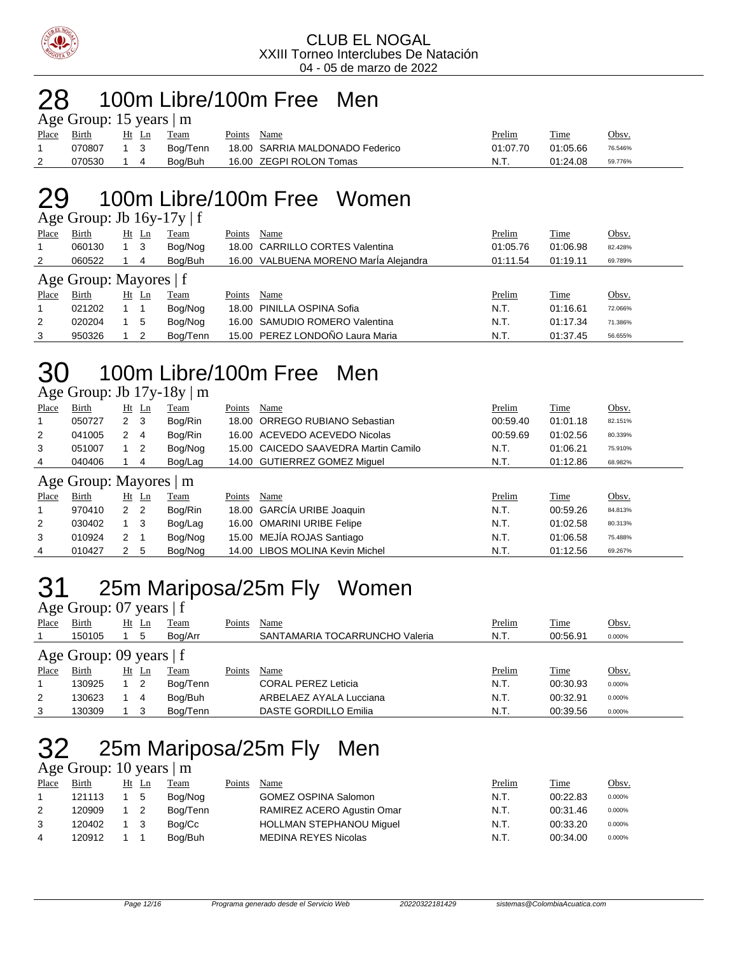

## 28 100m Libre/100m Free Men

| Age Group: 15 years $ m $ |        |       |  |          |             |                                 |          |          |         |  |  |
|---------------------------|--------|-------|--|----------|-------------|---------------------------------|----------|----------|---------|--|--|
| Place                     | Birth  | Ht Ln |  | Team     | Points Name |                                 | Prelim   | Time     | Obsv.   |  |  |
|                           | 070807 | 1 3   |  | Boa/Tenn |             | 18.00 SARRIA MALDONADO Federico | 01:07.70 | 01:05.66 | 76.546% |  |  |
|                           | 070530 | 1 4   |  | Boa/Buh  |             | 16.00 ZEGPI ROLON Tomas         | N.T.     | 01:24.08 | 59.776% |  |  |

#### 29 100m Libre/100m Free Women  $\overline{Age}$  Group: Ib  $16v-17v + 6$

|       | $T_{\rm LSC}$ Oroup. JU TO $y$ – 17 $y \uparrow$ 1 |    |       |          |        |                                       |          |          |         |  |  |  |  |
|-------|----------------------------------------------------|----|-------|----------|--------|---------------------------------------|----------|----------|---------|--|--|--|--|
| Place | Birth                                              | Ht | Ln    | Team     | Points | Name                                  | Prelim   | Time     | Obsv.   |  |  |  |  |
|       | 060130                                             |    | - 3   | Bog/Nog  |        | 18.00 CARRILLO CORTES Valentina       | 01:05.76 | 01:06.98 | 82.428% |  |  |  |  |
| 2     | 060522                                             |    | 4     | Bog/Buh  |        | 16.00 VALBUENA MORENO María Alejandra | 01:11.54 | 01:19.11 | 69.789% |  |  |  |  |
|       | Age Group: Mayores   f                             |    |       |          |        |                                       |          |          |         |  |  |  |  |
| Place | Birth                                              |    | Ht Ln | Team     | Points | Name                                  | Prelim   | Time     | Obsv.   |  |  |  |  |
|       | 021202                                             |    |       | Bog/Nog  |        | 18.00 PINILLA OSPINA Sofia            | N.T.     | 01:16.61 | 72.066% |  |  |  |  |
| 2     | 020204                                             |    | 5     | Bog/Nog  |        | 16.00 SAMUDIO ROMERO Valentina        | N.T.     | 01:17.34 | 71.386% |  |  |  |  |
| 3     | 950326                                             |    |       | Bog/Tenn |        | 15.00 PEREZ LONDOÑO Laura Maria       | N.T.     | 01:37.45 | 56.655% |  |  |  |  |

## 30 100m Libre/100m Free Men

Age Group: Jb  $17y-18y \mid m$ 

| ັ     |                        |                |                            |         |        |                                      |          |             |         |
|-------|------------------------|----------------|----------------------------|---------|--------|--------------------------------------|----------|-------------|---------|
| Place | Birth                  | $Ht$ Ln        |                            | Team    | Points | Name                                 | Prelim   | <b>Time</b> | Obsv.   |
|       | 050727                 | 2 <sub>3</sub> |                            | Bog/Rin |        | 18.00 ORREGO RUBIANO Sebastian       | 00:59.40 | 01:01.18    | 82.151% |
| 2     | 041005                 | 2              | 4                          | Bog/Rin |        | 16.00 ACEVEDO ACEVEDO Nicolas        | 00:59.69 | 01:02.56    | 80.339% |
| 3     | 051007                 |                | $\overline{\phantom{0}}^2$ | Bog/Nog |        | 15.00 CAICEDO SAAVEDRA Martin Camilo | N.T.     | 01:06.21    | 75.910% |
| 4     | 040406                 |                | 4                          | Bog/Lag |        | 14.00 GUTIERREZ GOMEZ Miquel         | N.T.     | 01:12.86    | 68.982% |
|       | Age Group: Mayores   m |                |                            |         |        |                                      |          |             |         |
| Place | Birth                  | $Ht$ Ln        |                            | Team    | Points | Name                                 | Prelim   | Time        | Obsv.   |
|       | 970410                 | 2 <sub>2</sub> |                            | Bog/Rin |        | 18.00 GARCIA URIBE Joaquin           | N.T.     | 00:59.26    | 84.813% |
| 2     | 030402                 |                | - 3                        | Bog/Lag |        | 16.00 OMARINI URIBE Felipe           | N.T.     | 01:02.58    | 80.313% |
| 3     | 010924                 | 2 <sub>1</sub> |                            | Bog/Nog |        | 15.00 MEJÍA ROJAS Santiago           | N.T.     | 01:06.58    | 75.488% |
| 4     | 010427                 | $\mathbf{2}$   | 5                          | Bog/Nog |        | 14.00 LIBOS MOLINA Kevin Michel      | N.T.     | 01:12.56    | 69.267% |
|       |                        |                |                            |         |        |                                      |          |             |         |

# 31 25m Mariposa/25m Fly Women

| Age Group: 07 years $ f $ |                         |    |                |             |        |                                |        |             |        |  |  |
|---------------------------|-------------------------|----|----------------|-------------|--------|--------------------------------|--------|-------------|--------|--|--|
| Place                     | Birth                   | Ht | Ln             | <b>Team</b> | Points | Name                           | Prelim | Time        | Obsv.  |  |  |
|                           | 150105                  |    | 5              | Bog/Arr     |        | SANTAMARIA TOCARRUNCHO Valeria | N.T.   | 00:56.91    | 0.000% |  |  |
|                           | Age Group: 09 years   f |    |                |             |        |                                |        |             |        |  |  |
| Place                     | Birth                   | Ht | -Ln            | Team        | Points | Name                           | Prelim | <b>Time</b> | Obsv.  |  |  |
|                           | 130925                  |    | $\overline{2}$ | Bog/Tenn    |        | <b>CORAL PEREZ Leticia</b>     | N.T.   | 00:30.93    | 0.000% |  |  |
| 2                         | 130623                  |    | 4              | Bog/Buh     |        | ARBELAEZ AYALA Lucciana        | N.T.   | 00:32.91    | 0.000% |  |  |
| 3                         | 130309                  |    | 3              | Bog/Tenn    |        | <b>DASTE GORDILLO Emilia</b>   | N.T.   | 00:39.56    | 0.000% |  |  |

#### 32 25m Mariposa/25m Fly Men

Age Group: 10 years | m

| Place | Birth  | Ht Ln | Team     | Points | Name                            | <u>Prelim</u> | Time     | Obsv.  |
|-------|--------|-------|----------|--------|---------------------------------|---------------|----------|--------|
|       | 121113 | -5    | Boa/Noa  |        | <b>GOMEZ OSPINA Salomon</b>     | N.T.          | 00:22.83 | 0.000% |
| 2     | 120909 |       | Boa/Tenn |        | RAMIREZ ACERO Agustin Omar      | N.T.          | 00:31.46 | 0.000% |
|       | 120402 |       | Boa/Cc   |        | <b>HOLLMAN STEPHANOU Miquel</b> | N.T.          | 00:33.20 | 0.000% |
| 4     | 120912 |       | Boa/Buh  |        | <b>MEDINA REYES Nicolas</b>     | N.T.          | 00:34.00 | 0.000% |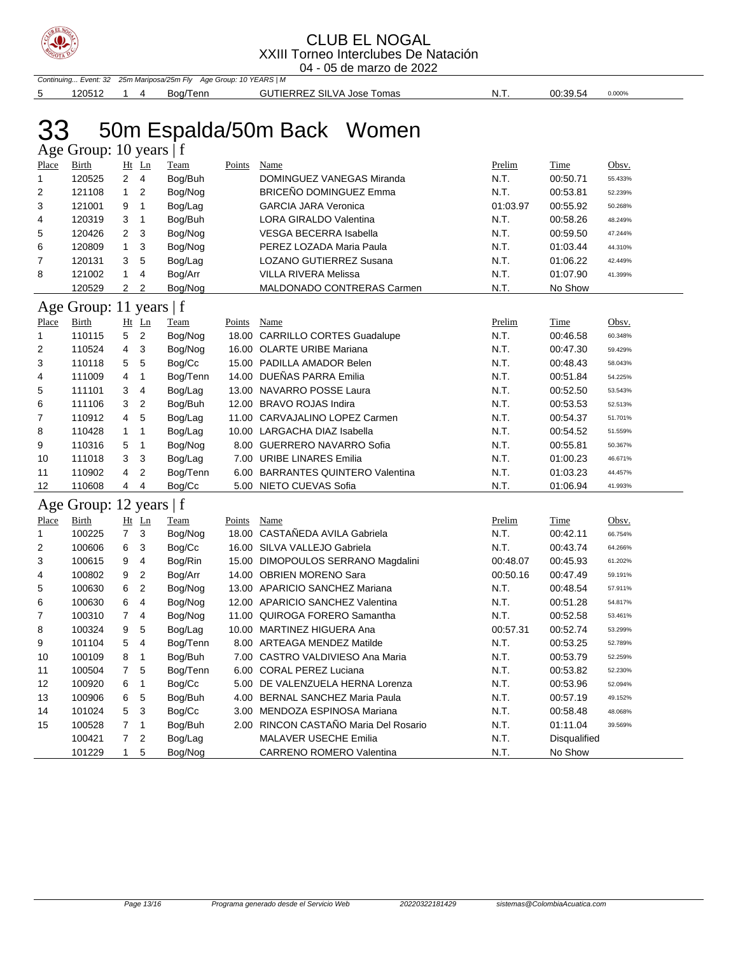

Continuing... Event: 32 25m Mariposa/25m Fly Age Group: 10 YEARS | M

#### CLUB EL NOGAL XXIII Torneo Interclubes De Natación 04 - 05 de marzo de 2022

120512 1 4 Bog/Tenn GUTIERREZ SILVA Jose Tomas N.T. 00:39.54 0.000%

| 50m Espalda/50m Back Women<br>33 |                           |                                  |             |               |                                       |          |              |         |  |  |  |  |  |
|----------------------------------|---------------------------|----------------------------------|-------------|---------------|---------------------------------------|----------|--------------|---------|--|--|--|--|--|
|                                  | Age Group: 10 years   f   |                                  |             |               |                                       |          |              |         |  |  |  |  |  |
| <b>Place</b>                     | Birth                     | Ht Ln                            | Team        | <b>Points</b> | Name                                  | Prelim   | <b>Time</b>  | Obsv.   |  |  |  |  |  |
| 1                                | 120525                    | $2 \quad 4$                      | Bog/Buh     |               | DOMINGUEZ VANEGAS Miranda             | N.T.     | 00:50.71     | 55.433% |  |  |  |  |  |
| 2                                | 121108                    | 2<br>$\mathbf{1}$                | Bog/Nog     |               | BRICEÑO DOMINGUEZ Emma                | N.T.     | 00:53.81     | 52.239% |  |  |  |  |  |
| 3                                | 121001                    | 9<br>1                           | Bog/Lag     |               | <b>GARCIA JARA Veronica</b>           | 01:03.97 | 00:55.92     | 50.268% |  |  |  |  |  |
| 4                                | 120319                    | $\overline{\mathbf{1}}$<br>3     | Bog/Buh     |               | LORA GIRALDO Valentina                | N.T.     | 00:58.26     | 48.249% |  |  |  |  |  |
| 5                                | 120426                    | 2<br>3                           | Bog/Nog     |               | <b>VESGA BECERRA Isabella</b>         | N.T.     | 00:59.50     | 47.244% |  |  |  |  |  |
| 6                                | 120809                    | 3<br>$\mathbf{1}$                | Bog/Nog     |               | PEREZ LOZADA Maria Paula              | N.T.     | 01:03.44     | 44.310% |  |  |  |  |  |
| 7                                | 120131                    | 5<br>3                           | Bog/Lag     |               | LOZANO GUTIERREZ Susana               | N.T.     | 01:06.22     | 42.449% |  |  |  |  |  |
| 8                                | 121002                    | 4<br>$\mathbf 1$                 | Bog/Arr     |               | <b>VILLA RIVERA Melissa</b>           | N.T.     | 01:07.90     | 41.399% |  |  |  |  |  |
|                                  | 120529                    | 2<br>2                           | Bog/Nog     |               | MALDONADO CONTRERAS Carmen            | N.T.     | No Show      |         |  |  |  |  |  |
|                                  |                           |                                  |             |               |                                       |          |              |         |  |  |  |  |  |
|                                  | Age Group: 11 years $ f $ |                                  |             |               |                                       |          |              |         |  |  |  |  |  |
| <b>Place</b>                     | <b>Birth</b>              | $Ht$ Ln                          | <b>Team</b> | Points        | <b>Name</b>                           | Prelim   | <u>Time</u>  | Obsv.   |  |  |  |  |  |
| 1                                | 110115                    | 5<br>$\overline{2}$              | Bog/Nog     |               | 18.00 CARRILLO CORTES Guadalupe       | N.T.     | 00:46.58     | 60.348% |  |  |  |  |  |
| 2                                | 110524                    | 3<br>4                           | Bog/Nog     |               | 16.00 OLARTE URIBE Mariana            | N.T.     | 00:47.30     | 59.429% |  |  |  |  |  |
| 3                                | 110118                    | 5<br>5                           | Bog/Cc      |               | 15.00 PADILLA AMADOR Belen            | N.T.     | 00:48.43     | 58.043% |  |  |  |  |  |
| 4                                | 111009                    | 1<br>4                           | Bog/Tenn    |               | 14.00 DUEÑAS PARRA Emilia             | N.T.     | 00:51.84     | 54.225% |  |  |  |  |  |
| 5                                | 111101                    | 3<br>4                           | Bog/Lag     |               | 13.00 NAVARRO POSSE Laura             | N.T.     | 00:52.50     | 53.543% |  |  |  |  |  |
| 6                                | 111106                    | 2<br>3                           | Bog/Buh     |               | 12.00 BRAVO ROJAS Indira              | N.T.     | 00:53.53     | 52.513% |  |  |  |  |  |
| 7                                | 110912                    | 4<br>5                           | Bog/Lag     |               | 11.00 CARVAJALINO LOPEZ Carmen        | N.T.     | 00:54.37     | 51.701% |  |  |  |  |  |
| 8                                | 110428                    | $\overline{1}$<br>1              | Bog/Lag     |               | 10.00 LARGACHA DIAZ Isabella          | N.T.     | 00:54.52     | 51.559% |  |  |  |  |  |
| 9                                | 110316                    | 5<br>$\overline{\phantom{a}}$    | Bog/Nog     |               | 8.00 GUERRERO NAVARRO Sofia           | N.T.     | 00:55.81     | 50.367% |  |  |  |  |  |
| 10                               | 111018                    | 3<br>3                           | Bog/Lag     |               | 7.00 URIBE LINARES Emilia             | N.T.     | 01:00.23     | 46.671% |  |  |  |  |  |
| 11                               | 110902                    | 2<br>4                           | Bog/Tenn    |               | 6.00 BARRANTES QUINTERO Valentina     | N.T.     | 01:03.23     | 44.457% |  |  |  |  |  |
| 12                               | 110608                    | 4<br>4                           | Bog/Cc      |               | 5.00 NIETO CUEVAS Sofia               | N.T.     | 01:06.94     | 41.993% |  |  |  |  |  |
|                                  | Age Group: 12 years   f   |                                  |             |               |                                       |          |              |         |  |  |  |  |  |
| Place                            | <b>Birth</b>              | Ht Ln                            | <b>Team</b> | <b>Points</b> | Name                                  | Prelim   | <b>Time</b>  | Obsv.   |  |  |  |  |  |
| 1                                | 100225                    | $7^{\circ}$<br>3                 | Bog/Nog     |               | 18.00 CASTAÑEDA AVILA Gabriela        | N.T.     | 00:42.11     | 66.754% |  |  |  |  |  |
| 2                                | 100606                    | 6<br>3                           | Bog/Cc      |               | 16.00 SILVA VALLEJO Gabriela          | N.T.     | 00:43.74     | 64.266% |  |  |  |  |  |
| 3                                | 100615                    | 9<br>4                           | Bog/Rin     |               | 15.00 DIMOPOULOS SERRANO Magdalini    | 00:48.07 | 00:45.93     | 61.202% |  |  |  |  |  |
| 4                                | 100802                    | 9<br>2                           | Bog/Arr     |               | 14.00 OBRIEN MORENO Sara              | 00:50.16 | 00:47.49     | 59.191% |  |  |  |  |  |
| 5                                | 100630                    | 2<br>6                           | Bog/Nog     |               | 13.00 APARICIO SANCHEZ Mariana        | N.T.     | 00:48.54     | 57.911% |  |  |  |  |  |
| 6                                | 100630                    | 6<br>4                           | Bog/Nog     |               | 12.00 APARICIO SANCHEZ Valentina      | N.T.     | 00:51.28     | 54.817% |  |  |  |  |  |
| 7                                | 100310                    | 7<br>4                           | Bog/Nog     |               | 11.00 QUIROGA FORERO Samantha         | N.T.     | 00:52.58     | 53.461% |  |  |  |  |  |
| 8                                | 100324                    | 9<br>5                           | Bog/Lag     |               | 10.00 MARTINEZ HIGUERA Ana            | 00:57.31 | 00:52.74     | 53.299% |  |  |  |  |  |
| 9                                | 101104                    | 5<br>4                           | Bog/Tenn    |               | 8.00 ARTEAGA MENDEZ Matilde           | N.T.     | 00:53.25     | 52.789% |  |  |  |  |  |
| 10                               | 100109                    | $\overline{1}$<br>8              | Bog/Buh     |               | 7.00 CASTRO VALDIVIESO Ana Maria      | N.T.     | 00:53.79     | 52.259% |  |  |  |  |  |
| 11                               | 100504                    | 5<br>$7^{\circ}$                 | Bog/Tenn    |               | 6.00 CORAL PEREZ Luciana              | N.T.     | 00:53.82     | 52.230% |  |  |  |  |  |
| 12                               | 100920                    | $\mathbf{1}$<br>6                | Bog/Cc      |               | 5.00 DE VALENZUELA HERNA Lorenza      | N.T.     | 00:53.96     | 52.094% |  |  |  |  |  |
| 13                               | 100906                    | 5<br>6                           | Bog/Buh     |               | 4.00 BERNAL SANCHEZ Maria Paula       | N.T.     | 00:57.19     | 49.152% |  |  |  |  |  |
| 14                               | 101024                    | 3<br>5                           | Bog/Cc      |               | 3.00 MENDOZA ESPINOSA Mariana         | N.T.     | 00:58.48     | 48.068% |  |  |  |  |  |
| 15                               | 100528                    | $\overline{\phantom{0}}$ 1<br>7  | Bog/Buh     |               | 2.00 RINCON CASTAÑO Maria Del Rosario | N.T.     | 01:11.04     | 39.569% |  |  |  |  |  |
|                                  | 100421                    | 7 <sup>7</sup><br>$\overline{2}$ | Bog/Lag     |               | MALAVER USECHE Emilia                 | N.T.     | Disqualified |         |  |  |  |  |  |
|                                  | 101229                    | 5<br>$\mathbf{1}$                | Bog/Nog     |               | CARRENO ROMERO Valentina              | N.T.     | No Show      |         |  |  |  |  |  |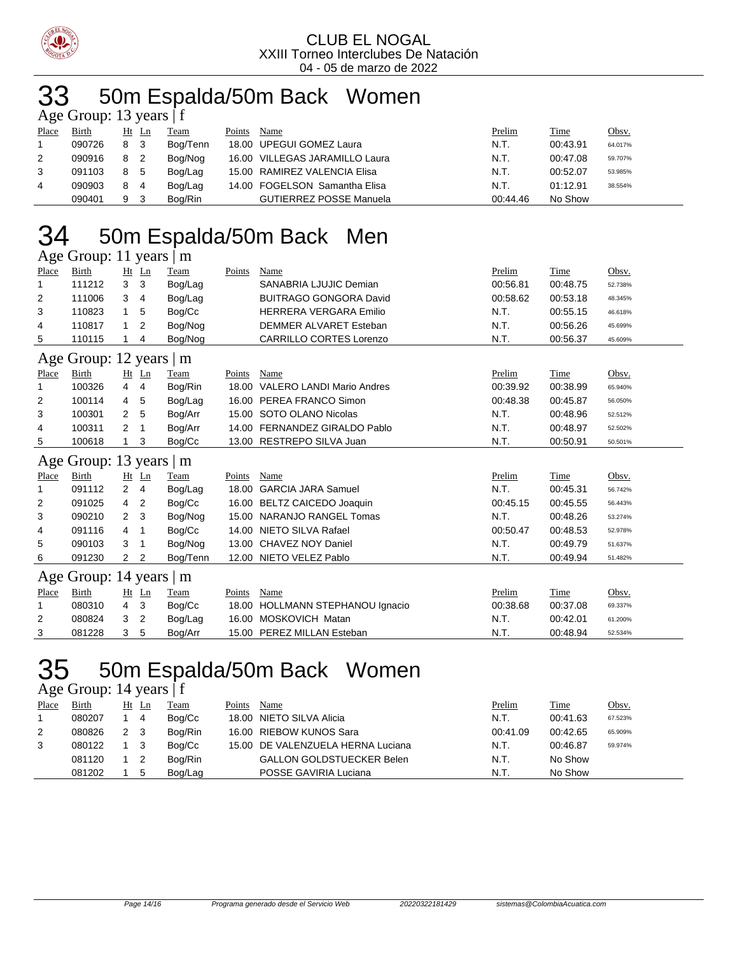

# 33 50m Espalda/50m Back Women

| Age Group: 13 years $ f $ |        |   |       |          |        |                                |          |          |         |  |  |  |
|---------------------------|--------|---|-------|----------|--------|--------------------------------|----------|----------|---------|--|--|--|
| Place                     | Birth  |   | Ht Ln | Team     | Points | Name                           | Prelim   | Time     | Obsv.   |  |  |  |
|                           | 090726 | 8 | - 3   | Bog/Tenn |        | 18.00 UPEGUI GOMEZ Laura       | N.T.     | 00:43.91 | 64.017% |  |  |  |
| 2                         | 090916 | 8 | -2    | Bog/Nog  |        | 16.00 VILLEGAS JARAMILLO Laura | N.T.     | 00:47.08 | 59.707% |  |  |  |
| 3                         | 091103 | 8 | - 5   | Bog/Lag  |        | 15.00 RAMIREZ VALENCIA Elisa   | N.T.     | 00:52.07 | 53.985% |  |  |  |
| 4                         | 090903 | 8 | -4    | Bog/Lag  |        | 14.00 FOGELSON Samantha Elisa  | N.T.     | 01:12.91 | 38.554% |  |  |  |
|                           | 090401 | 9 |       | Boa/Rin  |        | <b>GUTIERREZ POSSE Manuela</b> | 00:44.46 | No Show  |         |  |  |  |

# 34 50m Espalda/50m Back Men

| Age Group: 11 years $ m$ |                         |                |              |          |        |                                  |          |          |         |  |  |  |  |
|--------------------------|-------------------------|----------------|--------------|----------|--------|----------------------------------|----------|----------|---------|--|--|--|--|
| Place                    | Birth                   |                | $Ht$ Ln      | Team     | Points | Name                             | Prelim   | Time     | Obsv.   |  |  |  |  |
| 1                        | 111212                  | 3              | 3            | Bog/Lag  |        | SANABRIA LJUJIC Demian           | 00:56.81 | 00:48.75 | 52.738% |  |  |  |  |
| $\overline{2}$           | 111006                  | 3              | 4            | Bog/Lag  |        | <b>BUITRAGO GONGORA David</b>    | 00:58.62 | 00:53.18 | 48.345% |  |  |  |  |
| 3                        | 110823                  | 1              | 5            | Bog/Cc   |        | <b>HERRERA VERGARA Emilio</b>    | N.T.     | 00:55.15 | 46.618% |  |  |  |  |
| 4                        | 110817                  | 1              | 2            | Bog/Nog  |        | DEMMER ALVARET Esteban           | N.T.     | 00:56.26 | 45.699% |  |  |  |  |
| 5                        | 110115                  |                | 4            | Bog/Nog  |        | <b>CARRILLO CORTES Lorenzo</b>   | N.T.     | 00:56.37 | 45.609% |  |  |  |  |
|                          | Age Group: 12 years   m |                |              |          |        |                                  |          |          |         |  |  |  |  |
| Place                    | Birth                   |                | $Ht$ Ln      | Team     | Points | Name                             | Prelim   | Time     | Obsv.   |  |  |  |  |
| 1                        | 100326                  | $\overline{4}$ | 4            | Bog/Rin  |        | 18.00 VALERO LANDI Mario Andres  | 00:39.92 | 00:38.99 | 65.940% |  |  |  |  |
| 2                        | 100114                  | 4              | 5            | Bog/Lag  |        | 16.00 PEREA FRANCO Simon         | 00:48.38 | 00:45.87 | 56.050% |  |  |  |  |
| 3                        | 100301                  | 2              | 5            | Bog/Arr  |        | 15.00 SOTO OLANO Nicolas         | N.T.     | 00:48.96 | 52.512% |  |  |  |  |
| 4                        | 100311                  | 2              | $\mathbf{1}$ | Bog/Arr  |        | 14.00 FERNANDEZ GIRALDO Pablo    | N.T.     | 00:48.97 | 52.502% |  |  |  |  |
| 5                        | 100618                  | 1              | 3            | Bog/Cc   |        | 13.00 RESTREPO SILVA Juan        | N.T.     | 00:50.91 | 50.501% |  |  |  |  |
|                          | Age Group: 13 years   m |                |              |          |        |                                  |          |          |         |  |  |  |  |
| Place                    | Birth                   |                | $Ht$ Ln      | Team     | Points | Name                             | Prelim   | Time     | Obsv.   |  |  |  |  |
| 1                        | 091112                  | 2              | 4            | Bog/Lag  |        | 18.00 GARCIA JARA Samuel         | N.T.     | 00:45.31 | 56.742% |  |  |  |  |
| $\overline{2}$           | 091025                  | 4              | 2            | Bog/Cc   |        | 16.00 BELTZ CAICEDO Joaquin      | 00:45.15 | 00:45.55 | 56.443% |  |  |  |  |
| 3                        | 090210                  | $\overline{2}$ | 3            | Bog/Nog  |        | 15.00 NARANJO RANGEL Tomas       | N.T.     | 00:48.26 | 53.274% |  |  |  |  |
| 4                        | 091116                  | 4              | 1            | Bog/Cc   |        | 14.00 NIETO SILVA Rafael         | 00:50.47 | 00:48.53 | 52.978% |  |  |  |  |
| 5                        | 090103                  | 3              | 1            | Bog/Nog  |        | 13.00 CHAVEZ NOY Daniel          | N.T.     | 00:49.79 | 51.637% |  |  |  |  |
| 6                        | 091230                  | 2              | 2            | Bog/Tenn |        | 12.00 NIETO VELEZ Pablo          | N.T.     | 00:49.94 | 51.482% |  |  |  |  |
|                          | Age Group: 14 years   m |                |              |          |        |                                  |          |          |         |  |  |  |  |
| Place                    | Birth                   |                | $Ht$ Ln      | Team     | Points | Name                             | Prelim   | Time     | Obsv.   |  |  |  |  |
| 1                        | 080310                  | 4              | 3            | Bog/Cc   |        | 18.00 HOLLMANN STEPHANOU Ignacio | 00:38.68 | 00:37.08 | 69.337% |  |  |  |  |
| 2                        | 080824                  | 3              | 2            | Bog/Lag  | 16.00  | MOSKOVICH Matan                  | N.T.     | 00:42.01 | 61.200% |  |  |  |  |
| 3                        | 081228                  | 3              | 5            | Bog/Arr  |        | 15.00 PEREZ MILLAN Esteban       | N.T.     | 00:48.94 | 52.534% |  |  |  |  |

#### 50m Espalda/50m Back Women 50m Espan Age Group: 14 years  $|f|$

| Place | <b>Birth</b> | Ht  | Ln | Team    | Points | Name                              | Prelim   | Time     | Obsv.   |
|-------|--------------|-----|----|---------|--------|-----------------------------------|----------|----------|---------|
|       | 080207       |     | 4  | Bog/Cc  |        | 18.00 NIETO SILVA Alicia          | N.T.     | 00:41.63 | 67.523% |
| 2     | 080826       | 2 3 |    | Bog/Rin |        | 16.00 RIEBOW KUNOS Sara           | 00:41.09 | 00:42.65 | 65.909% |
| 3     | 080122       |     |    | Bog/Cc  |        | 15.00 DE VALENZUELA HERNA Luciana | N.T.     | 00:46.87 | 59.974% |
|       | 081120       |     |    | Bog/Rin |        | <b>GALLON GOLDSTUECKER Belen</b>  | N.T.     | No Show  |         |
|       | 081202       |     |    | Bog/Lag |        | POSSE GAVIRIA Luciana             | N.T.     | No Show  |         |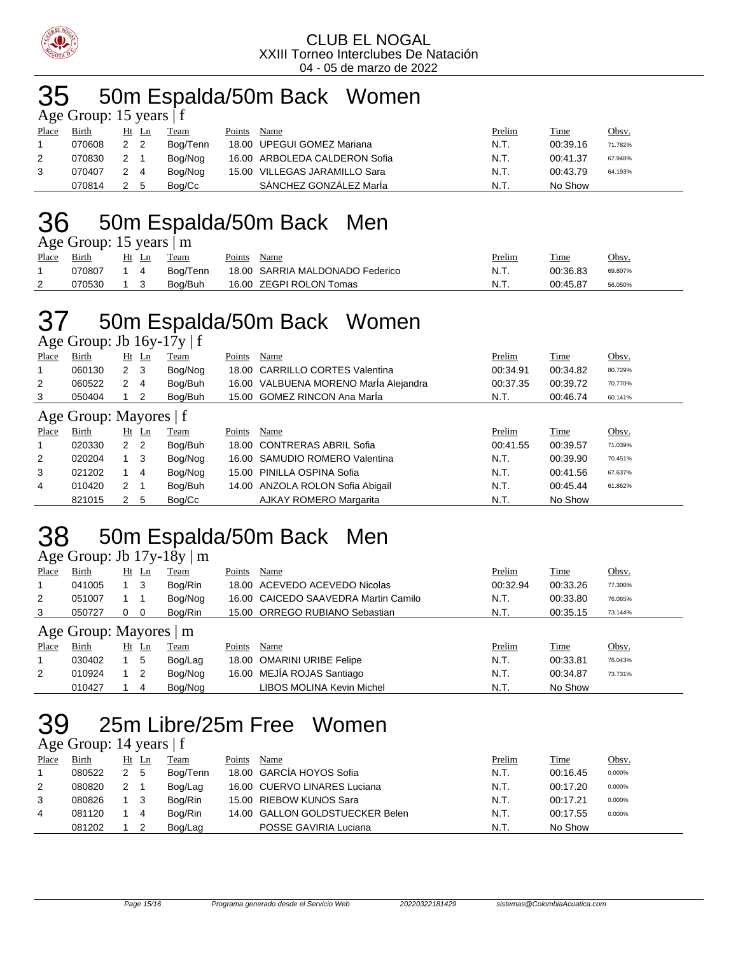

#### 35 50m Espalda/50m Back Women Age Group: 15 years if

|       | $T_{\rm X}$ UIVUP. To years $T_{\rm L}$ |       |  |          |        |                               |        |          |              |  |  |  |  |
|-------|-----------------------------------------|-------|--|----------|--------|-------------------------------|--------|----------|--------------|--|--|--|--|
| Place | Birth                                   | Ht Ln |  | Team     | Points | Name                          | Prelim | Time     | <u>Obsv.</u> |  |  |  |  |
|       | 070608                                  | 2 2   |  | Boa/Tenn |        | 18.00 UPEGUI GOMEZ Mariana    | N.T.   | 00:39.16 | 71.782%      |  |  |  |  |
|       | 070830                                  | 2 1   |  | Bog/Nog  |        | 16.00 ARBOLEDA CALDERON Sofia | N.T.   | 00:41.37 | 67.948%      |  |  |  |  |
| 3     | 070407                                  | 2 4   |  | Bog/Nog  |        | 15.00 VILLEGAS JARAMILLO Sara | N.T.   | 00:43.79 | 64.193%      |  |  |  |  |
|       | 070814                                  | 2 5   |  | Boa/Cc   |        | SÁNCHEZ GONZÁLEZ MarÍa        | N.T.   | No Show  |              |  |  |  |  |

#### 50m Espalda/50m Back Men Age Group: 15 years | m

| $1.50$ Oroup. 19 $7.04$ $\mu$ |            |       |          |             |                                 |               |          |         |  |  |  |  |
|-------------------------------|------------|-------|----------|-------------|---------------------------------|---------------|----------|---------|--|--|--|--|
| Place                         | Birth      | Ht Ln | Team     | Points Name |                                 | <u>Prelim</u> | Time     | Obsv.   |  |  |  |  |
|                               | 070807 1 4 |       | Boa/Tenn |             | 18.00 SARRIA MALDONADO Federico | N.T.          | 00:36.83 | 69.807% |  |  |  |  |
| 2                             | 070530 1 3 |       | Boa/Buh  |             | 16.00 ZEGPI ROLON Tomas         | N.T.          | 00:45.87 | 56.050% |  |  |  |  |

# 50m Espalda/50m Back Women

Age Group: Jb 16y-17y | f

| Place | Birth                  |                      | $Ht$ Ln | Team    | Points | Name                                  | Prelim   | Time        | Obsv.   |
|-------|------------------------|----------------------|---------|---------|--------|---------------------------------------|----------|-------------|---------|
| 1     | 060130                 | 2 <sub>3</sub>       |         | Bog/Nog |        | 18.00 CARRILLO CORTES Valentina       | 00:34.91 | 00:34.82    | 80.729% |
| 2     | 060522                 | 2                    | 4       | Bog/Buh |        | 16.00 VALBUENA MORENO María Alejandra | 00:37.35 | 00:39.72    | 70.770% |
| 3     | 050404                 |                      | - 2     | Bog/Buh |        | 15.00 GOMEZ RINCON Ana Marla          | N.T.     | 00:46.74    | 60.141% |
|       | Age Group: Mayores   f |                      |         |         |        |                                       |          |             |         |
| Place | Birth                  |                      | $Ht$ Ln | Team    | Points | Name                                  | Prelim   | <b>Time</b> | Obsv.   |
|       | 020330                 | 2 <sub>2</sub>       |         | Bog/Buh |        | 18.00 CONTRERAS ABRIL Sofia           | 00:41.55 | 00:39.57    | 71.039% |
| 2     | 020204                 | $1 \quad 3$          |         | Bog/Nog |        | 16.00 SAMUDIO ROMERO Valentina        | N.T.     | 00:39.90    | 70.451% |
| 3     | 021202                 |                      | 4       | Bog/Nog |        | 15.00 PINILLA OSPINA Sofia            | N.T.     | 00:41.56    | 67.637% |
| 4     | 010420                 | 2                    |         | Bog/Buh |        | 14.00 ANZOLA ROLON Sofia Abigail      | N.T.     | 00:45.44    | 61.862% |
|       | 821015                 | $\mathbf{2}^{\circ}$ | 5       | Bog/Cc  |        | AJKAY ROMERO Margarita                | N.T.     | No Show     |         |

# 50m Espalda/50m Back Men

| Age Group: Jb $17y-18y \mid m$ |                        |             |            |         |        |                                      |          |             |         |  |  |  |  |
|--------------------------------|------------------------|-------------|------------|---------|--------|--------------------------------------|----------|-------------|---------|--|--|--|--|
| Place                          | <b>Birth</b>           |             | $Ht$ Ln    | Team    | Points | Name                                 | Prelim   | <b>Time</b> | Obsv.   |  |  |  |  |
|                                | 041005                 | $1 \quad 3$ |            | Bog/Rin |        | 18.00 ACEVEDO ACEVEDO Nicolas        | 00:32.94 | 00:33.26    | 77.300% |  |  |  |  |
| 2                              | 051007                 |             |            | Bog/Nog |        | 16.00 CAICEDO SAAVEDRA Martin Camilo | N.T.     | 00:33.80    | 76.065% |  |  |  |  |
| 3                              | 050727                 | 0           | - 0        | Bog/Rin |        | 15.00 ORREGO RUBIANO Sebastian       | N.T.     | 00:35.15    | 73.144% |  |  |  |  |
|                                | Age Group: Mayores   m |             |            |         |        |                                      |          |             |         |  |  |  |  |
| Place                          | Birth                  |             | Ht Ln      | Team    | Points | Name                                 | Prelim   | Time        | Obsv.   |  |  |  |  |
|                                | 030402                 |             | 5          | Bog/Lag |        | 18.00 OMARINI URIBE Felipe           | N.T.     | 00:33.81    | 76.043% |  |  |  |  |
| 2                              | 010924                 |             | $1\quad 2$ | Bog/Nog |        | 16.00 MEJÍA ROJAS Santiago           | N.T.     | 00:34.87    | 73.731% |  |  |  |  |
|                                | 010427                 |             | 4          | Bog/Nog |        | <b>LIBOS MOLINA Kevin Michel</b>     | N.T.     | No Show     |         |  |  |  |  |

# 25m Libre/25m Free Women

Age Group: 14 years | f

| Place | Birth  | $Ht$ Ln |     | Team     | Points | Name                            | Prelim | <b>Time</b> | Obsv.  |
|-------|--------|---------|-----|----------|--------|---------------------------------|--------|-------------|--------|
|       | 080522 | 2       | - 5 | Bog/Tenn |        | 18.00 GARCIA HOYOS Sofia        | N.T.   | 00:16.45    | 0.000% |
| 2     | 080820 |         |     | Bog/Lag  |        | 16.00 CUERVO LINARES Luciana    | N.T.   | 00:17.20    | 0.000% |
| 3     | 080826 |         |     | Boa/Rin  |        | 15.00 RIEBOW KUNOS Sara         | N.T.   | 00:17.21    | 0.000% |
| 4     | 081120 |         | 4   | Boa/Rin  |        | 14.00 GALLON GOLDSTUECKER Belen | N.T.   | 00:17.55    | 0.000% |
|       | 081202 |         |     | Bog/Lag  |        | POSSE GAVIRIA Luciana           | N.T.   | No Show     |        |